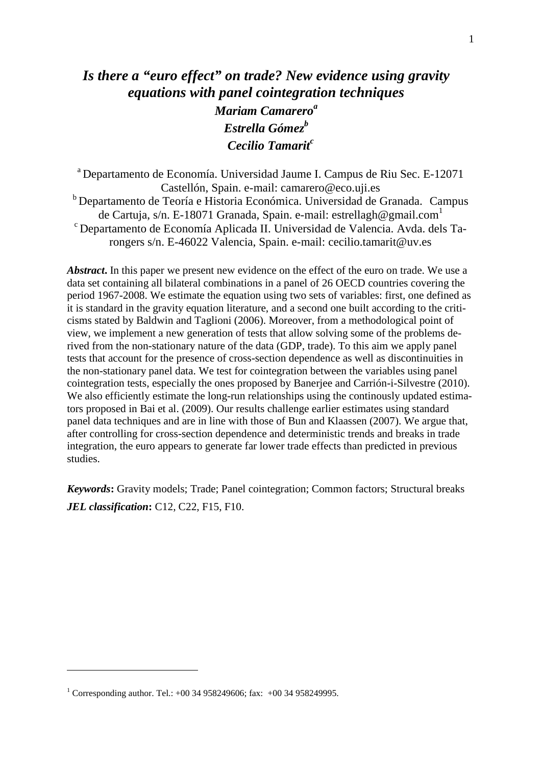## *Is there a "euro effect" on trade? New evidence using gravity equations with panel cointegration techniques Mariam Camarero<sup>a</sup> Estrella Gómez<sup>b</sup> Cecilio Tamarit<sup>c</sup>*

<sup>a</sup> Departamento de Economía. Universidad Jaume I. Campus de Riu Sec. E-12071 Castellón, Spain. e-mail: camarero@eco.uji.es <sup>b</sup> Departamento de Teoría e Historia Económica. Universidad de Granada. Campus de Cartuja, s/n. E-18071 Granada, Spain. e-mail: estrellagh@gmail.com<sup>1</sup> <sup>c</sup>Departamento de Economía Aplicada II. Universidad de Valencia. Avda. dels Tarongers s/n. E-46022 Valencia, Spain. e-mail: cecilio.tamarit@uv.es

*Abstract***.** In this paper we present new evidence on the effect of the euro on trade. We use a data set containing all bilateral combinations in a panel of 26 OECD countries covering the period 1967-2008. We estimate the equation using two sets of variables: first, one defined as it is standard in the gravity equation literature, and a second one built according to the criticisms stated by Baldwin and Taglioni (2006). Moreover, from a methodological point of view, we implement a new generation of tests that allow solving some of the problems derived from the non-stationary nature of the data (GDP, trade). To this aim we apply panel tests that account for the presence of cross-section dependence as well as discontinuities in the non-stationary panel data. We test for cointegration between the variables using panel cointegration tests, especially the ones proposed by Banerjee and Carrión-i-Silvestre (2010). We also efficiently estimate the long-run relationships using the continously updated estimators proposed in Bai et al. (2009). Our results challenge earlier estimates using standard panel data techniques and are in line with those of Bun and Klaassen (2007). We argue that, after controlling for cross-section dependence and deterministic trends and breaks in trade integration, the euro appears to generate far lower trade effects than predicted in previous studies.

*Keywords***:** Gravity models; Trade; Panel cointegration; Common factors; Structural breaks *JEL classification***:** C12, C22, F15, F10.

<sup>&</sup>lt;sup>1</sup> Corresponding author. Tel.:  $+00$  34 958249606; fax:  $+00$  34 958249995.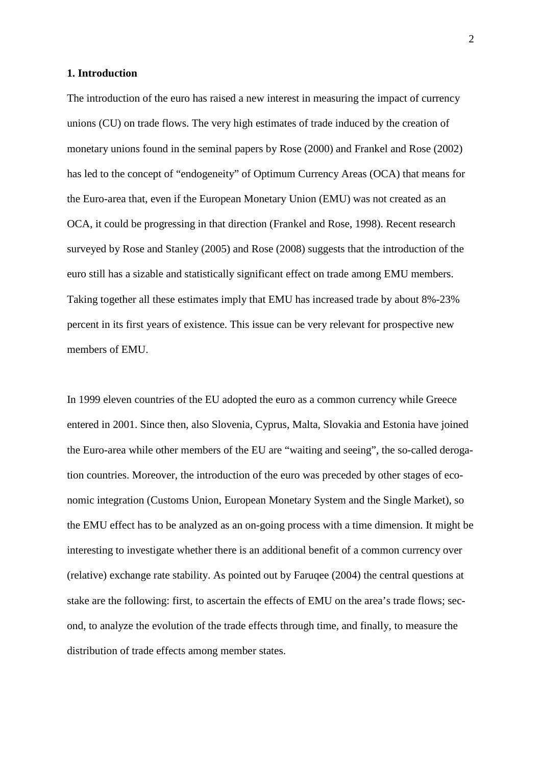## **1. Introduction**

The introduction of the euro has raised a new interest in measuring the impact of currency unions (CU) on trade flows. The very high estimates of trade induced by the creation of monetary unions found in the seminal papers by Rose (2000) and Frankel and Rose (2002) has led to the concept of "endogeneity" of Optimum Currency Areas (OCA) that means for the Euro-area that, even if the European Monetary Union (EMU) was not created as an OCA, it could be progressing in that direction (Frankel and Rose, 1998). Recent research surveyed by Rose and Stanley (2005) and Rose (2008) suggests that the introduction of the euro still has a sizable and statistically significant effect on trade among EMU members. Taking together all these estimates imply that EMU has increased trade by about 8%-23% percent in its first years of existence. This issue can be very relevant for prospective new members of EMU.

In 1999 eleven countries of the EU adopted the euro as a common currency while Greece entered in 2001. Since then, also Slovenia, Cyprus, Malta, Slovakia and Estonia have joined the Euro-area while other members of the EU are "waiting and seeing", the so-called derogation countries. Moreover, the introduction of the euro was preceded by other stages of economic integration (Customs Union, European Monetary System and the Single Market), so the EMU effect has to be analyzed as an on-going process with a time dimension. It might be interesting to investigate whether there is an additional benefit of a common currency over (relative) exchange rate stability. As pointed out by Faruqee (2004) the central questions at stake are the following: first, to ascertain the effects of EMU on the area's trade flows; second, to analyze the evolution of the trade effects through time, and finally, to measure the distribution of trade effects among member states.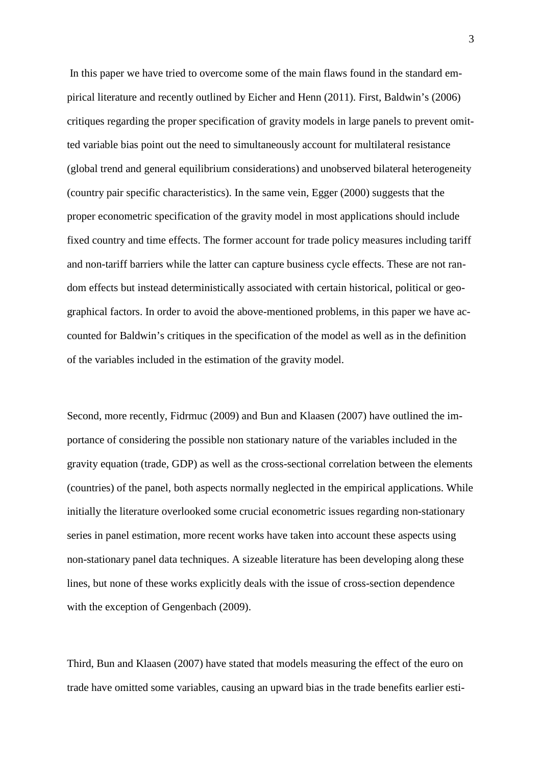In this paper we have tried to overcome some of the main flaws found in the standard empirical literature and recently outlined by Eicher and Henn (2011). First, Baldwin's (2006) critiques regarding the proper specification of gravity models in large panels to prevent omitted variable bias point out the need to simultaneously account for multilateral resistance (global trend and general equilibrium considerations) and unobserved bilateral heterogeneity (country pair specific characteristics). In the same vein, Egger (2000) suggests that the proper econometric specification of the gravity model in most applications should include fixed country and time effects. The former account for trade policy measures including tariff and non-tariff barriers while the latter can capture business cycle effects. These are not random effects but instead deterministically associated with certain historical, political or geographical factors. In order to avoid the above-mentioned problems, in this paper we have accounted for Baldwin's critiques in the specification of the model as well as in the definition of the variables included in the estimation of the gravity model.

Second, more recently, Fidrmuc (2009) and Bun and Klaasen (2007) have outlined the importance of considering the possible non stationary nature of the variables included in the gravity equation (trade, GDP) as well as the cross-sectional correlation between the elements (countries) of the panel, both aspects normally neglected in the empirical applications. While initially the literature overlooked some crucial econometric issues regarding non-stationary series in panel estimation, more recent works have taken into account these aspects using non-stationary panel data techniques. A sizeable literature has been developing along these lines, but none of these works explicitly deals with the issue of cross-section dependence with the exception of Gengenbach (2009).

Third, Bun and Klaasen (2007) have stated that models measuring the effect of the euro on trade have omitted some variables, causing an upward bias in the trade benefits earlier esti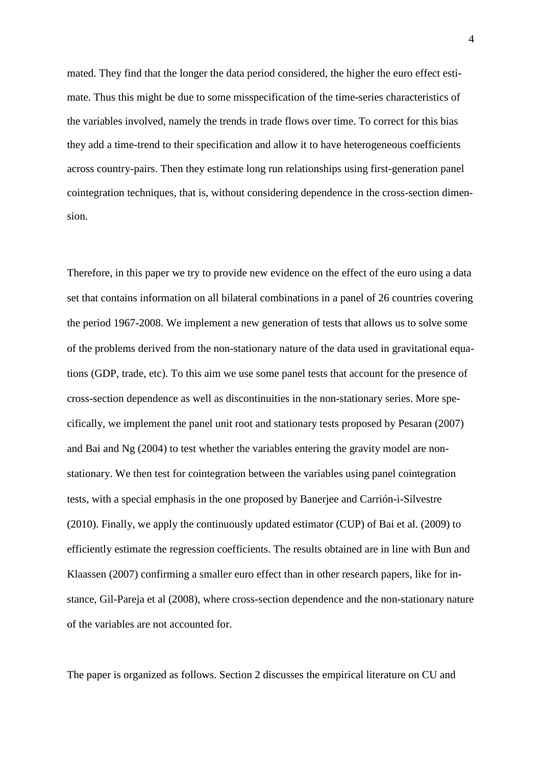mated. They find that the longer the data period considered, the higher the euro effect estimate. Thus this might be due to some misspecification of the time-series characteristics of the variables involved, namely the trends in trade flows over time. To correct for this bias they add a time-trend to their specification and allow it to have heterogeneous coefficients across country-pairs. Then they estimate long run relationships using first-generation panel cointegration techniques, that is, without considering dependence in the cross-section dimension.

Therefore, in this paper we try to provide new evidence on the effect of the euro using a data set that contains information on all bilateral combinations in a panel of 26 countries covering the period 1967-2008. We implement a new generation of tests that allows us to solve some of the problems derived from the non-stationary nature of the data used in gravitational equations (GDP, trade, etc). To this aim we use some panel tests that account for the presence of cross-section dependence as well as discontinuities in the non-stationary series. More specifically, we implement the panel unit root and stationary tests proposed by Pesaran (2007) and Bai and Ng (2004) to test whether the variables entering the gravity model are nonstationary. We then test for cointegration between the variables using panel cointegration tests, with a special emphasis in the one proposed by Banerjee and Carrión-i-Silvestre (2010). Finally, we apply the continuously updated estimator (CUP) of Bai et al. (2009) to efficiently estimate the regression coefficients. The results obtained are in line with Bun and Klaassen (2007) confirming a smaller euro effect than in other research papers, like for instance, Gil-Pareja et al (2008), where cross-section dependence and the non-stationary nature of the variables are not accounted for.

The paper is organized as follows. Section 2 discusses the empirical literature on CU and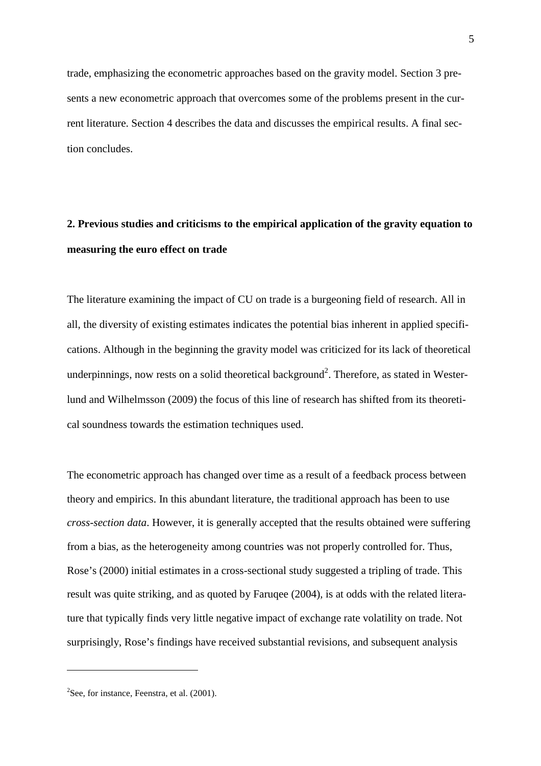trade, emphasizing the econometric approaches based on the gravity model. Section 3 presents a new econometric approach that overcomes some of the problems present in the current literature. Section 4 describes the data and discusses the empirical results. A final section concludes.

# **2. Previous studies and criticisms to the empirical application of the gravity equation to measuring the euro effect on trade**

The literature examining the impact of CU on trade is a burgeoning field of research. All in all, the diversity of existing estimates indicates the potential bias inherent in applied specifications. Although in the beginning the gravity model was criticized for its lack of theoretical underpinnings, now rests on a solid theoretical background<sup>2</sup>. Therefore, as stated in Westerlund and Wilhelmsson (2009) the focus of this line of research has shifted from its theoretical soundness towards the estimation techniques used.

The econometric approach has changed over time as a result of a feedback process between theory and empirics. In this abundant literature, the traditional approach has been to use *cross-section data*. However, it is generally accepted that the results obtained were suffering from a bias, as the heterogeneity among countries was not properly controlled for. Thus, Rose's (2000) initial estimates in a cross-sectional study suggested a tripling of trade. This result was quite striking, and as quoted by Faruqee (2004), is at odds with the related literature that typically finds very little negative impact of exchange rate volatility on trade. Not surprisingly, Rose's findings have received substantial revisions, and subsequent analysis

 $2$ See, for instance, Feenstra, et al. (2001).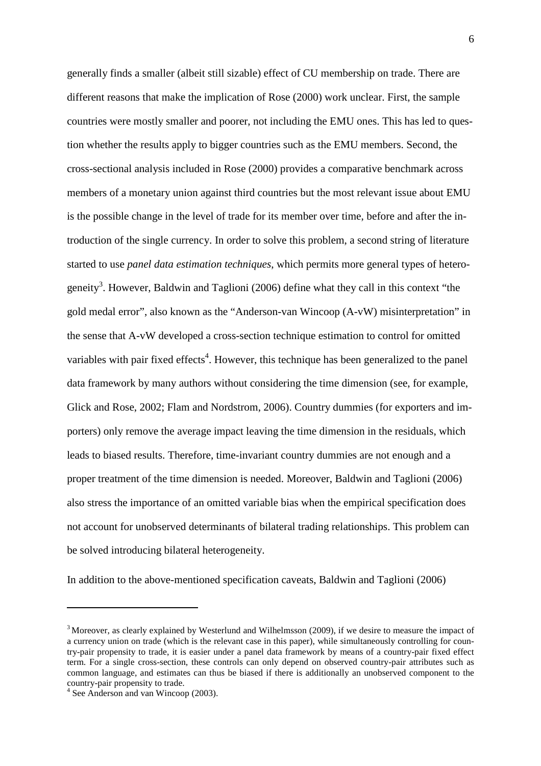generally finds a smaller (albeit still sizable) effect of CU membership on trade. There are different reasons that make the implication of Rose (2000) work unclear. First, the sample countries were mostly smaller and poorer, not including the EMU ones. This has led to question whether the results apply to bigger countries such as the EMU members. Second, the cross-sectional analysis included in Rose (2000) provides a comparative benchmark across members of a monetary union against third countries but the most relevant issue about EMU is the possible change in the level of trade for its member over time, before and after the introduction of the single currency. In order to solve this problem, a second string of literature started to use *panel data estimation techniques*, which permits more general types of heterogeneity<sup>3</sup>. However, Baldwin and Taglioni (2006) define what they call in this context "the gold medal error", also known as the "Anderson-van Wincoop (A-vW) misinterpretation" in the sense that A-vW developed a cross-section technique estimation to control for omitted variables with pair fixed effects<sup>4</sup>. However, this technique has been generalized to the panel data framework by many authors without considering the time dimension (see, for example, Glick and Rose, 2002; Flam and Nordstrom, 2006). Country dummies (for exporters and importers) only remove the average impact leaving the time dimension in the residuals, which leads to biased results. Therefore, time-invariant country dummies are not enough and a proper treatment of the time dimension is needed. Moreover, Baldwin and Taglioni (2006) also stress the importance of an omitted variable bias when the empirical specification does not account for unobserved determinants of bilateral trading relationships. This problem can be solved introducing bilateral heterogeneity.

In addition to the above-mentioned specification caveats, Baldwin and Taglioni (2006)

<sup>&</sup>lt;sup>3</sup> Moreover, as clearly explained by Westerlund and Wilhelmsson (2009), if we desire to measure the impact of a currency union on trade (which is the relevant case in this paper), while simultaneously controlling for country-pair propensity to trade, it is easier under a panel data framework by means of a country-pair fixed effect term. For a single cross-section, these controls can only depend on observed country-pair attributes such as common language, and estimates can thus be biased if there is additionally an unobserved component to the country-pair propensity to trade.

<sup>4</sup> See Anderson and van Wincoop (2003).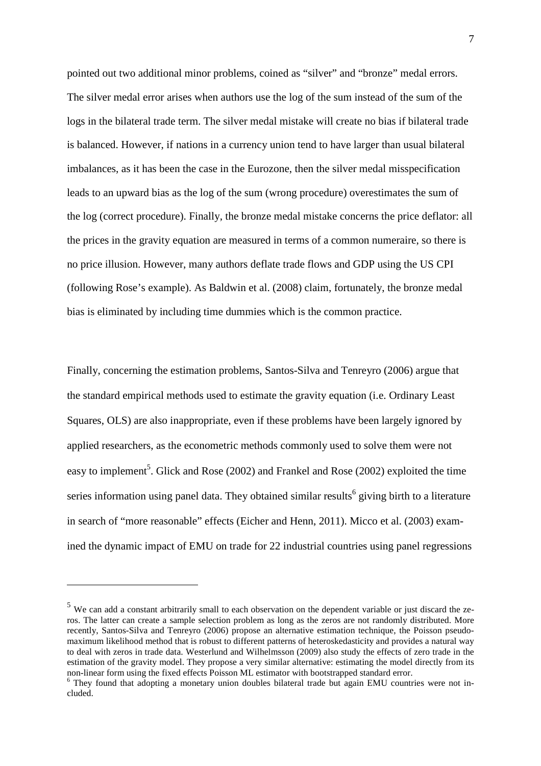pointed out two additional minor problems, coined as "silver" and "bronze" medal errors. The silver medal error arises when authors use the log of the sum instead of the sum of the logs in the bilateral trade term. The silver medal mistake will create no bias if bilateral trade is balanced. However, if nations in a currency union tend to have larger than usual bilateral imbalances, as it has been the case in the Eurozone, then the silver medal misspecification leads to an upward bias as the log of the sum (wrong procedure) overestimates the sum of the log (correct procedure). Finally, the bronze medal mistake concerns the price deflator: all the prices in the gravity equation are measured in terms of a common numeraire, so there is no price illusion. However, many authors deflate trade flows and GDP using the US CPI (following Rose's example). As Baldwin et al. (2008) claim, fortunately, the bronze medal bias is eliminated by including time dummies which is the common practice.

Finally, concerning the estimation problems, Santos-Silva and Tenreyro (2006) argue that the standard empirical methods used to estimate the gravity equation (i.e. Ordinary Least Squares, OLS) are also inappropriate, even if these problems have been largely ignored by applied researchers, as the econometric methods commonly used to solve them were not easy to implement<sup>5</sup>. Glick and Rose (2002) and Frankel and Rose (2002) exploited the time series information using panel data. They obtained similar results<sup>6</sup> giving birth to a literature in search of "more reasonable" effects (Eicher and Henn, 2011). Micco et al. (2003) examined the dynamic impact of EMU on trade for 22 industrial countries using panel regressions

<sup>&</sup>lt;sup>5</sup> We can add a constant arbitrarily small to each observation on the dependent variable or just discard the zeros. The latter can create a sample selection problem as long as the zeros are not randomly distributed. More recently, Santos-Silva and Tenreyro (2006) propose an alternative estimation technique, the Poisson pseudomaximum likelihood method that is robust to different patterns of heteroskedasticity and provides a natural way to deal with zeros in trade data. Westerlund and Wilhelmsson (2009) also study the effects of zero trade in the estimation of the gravity model. They propose a very similar alternative: estimating the model directly from its non-linear form using the fixed effects Poisson ML estimator with bootstrapped standard error.

<sup>&</sup>lt;sup>6</sup> They found that adopting a monetary union doubles bilateral trade but again EMU countries were not included.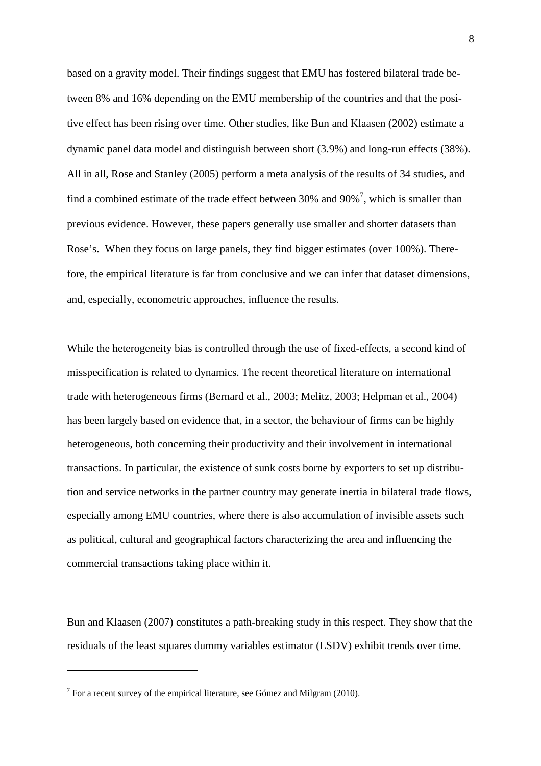based on a gravity model. Their findings suggest that EMU has fostered bilateral trade between 8% and 16% depending on the EMU membership of the countries and that the positive effect has been rising over time. Other studies, like Bun and Klaasen (2002) estimate a dynamic panel data model and distinguish between short (3.9%) and long-run effects (38%). All in all, Rose and Stanley (2005) perform a meta analysis of the results of 34 studies, and find a combined estimate of the trade effect between 30% and  $90\%$ <sup>7</sup>, which is smaller than previous evidence. However, these papers generally use smaller and shorter datasets than Rose's. When they focus on large panels, they find bigger estimates (over 100%). Therefore, the empirical literature is far from conclusive and we can infer that dataset dimensions, and, especially, econometric approaches, influence the results.

While the heterogeneity bias is controlled through the use of fixed-effects, a second kind of misspecification is related to dynamics. The recent theoretical literature on international trade with heterogeneous firms (Bernard et al., 2003; Melitz, 2003; Helpman et al., 2004) has been largely based on evidence that, in a sector, the behaviour of firms can be highly heterogeneous, both concerning their productivity and their involvement in international transactions. In particular, the existence of sunk costs borne by exporters to set up distribution and service networks in the partner country may generate inertia in bilateral trade flows, especially among EMU countries, where there is also accumulation of invisible assets such as political, cultural and geographical factors characterizing the area and influencing the commercial transactions taking place within it.

Bun and Klaasen (2007) constitutes a path-breaking study in this respect. They show that the residuals of the least squares dummy variables estimator (LSDV) exhibit trends over time.

<sup>&</sup>lt;sup>7</sup> For a recent survey of the empirical literature, see Gómez and Milgram (2010).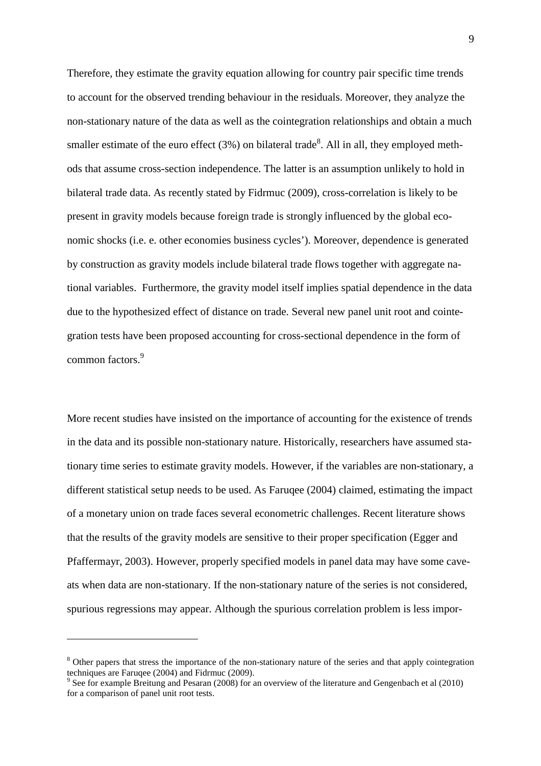Therefore, they estimate the gravity equation allowing for country pair specific time trends to account for the observed trending behaviour in the residuals. Moreover, they analyze the non-stationary nature of the data as well as the cointegration relationships and obtain a much smaller estimate of the euro effect  $(3%)$  on bilateral trade<sup>8</sup>. All in all, they employed methods that assume cross-section independence. The latter is an assumption unlikely to hold in bilateral trade data. As recently stated by Fidrmuc (2009), cross-correlation is likely to be present in gravity models because foreign trade is strongly influenced by the global economic shocks (i.e. e. other economies business cycles'). Moreover, dependence is generated by construction as gravity models include bilateral trade flows together with aggregate national variables. Furthermore, the gravity model itself implies spatial dependence in the data due to the hypothesized effect of distance on trade. Several new panel unit root and cointegration tests have been proposed accounting for cross-sectional dependence in the form of common factors.<sup>9</sup>

More recent studies have insisted on the importance of accounting for the existence of trends in the data and its possible non-stationary nature. Historically, researchers have assumed stationary time series to estimate gravity models. However, if the variables are non-stationary, a different statistical setup needs to be used. As Faruqee (2004) claimed, estimating the impact of a monetary union on trade faces several econometric challenges. Recent literature shows that the results of the gravity models are sensitive to their proper specification (Egger and Pfaffermayr, 2003). However, properly specified models in panel data may have some caveats when data are non-stationary. If the non-stationary nature of the series is not considered, spurious regressions may appear. Although the spurious correlation problem is less impor-

<sup>&</sup>lt;sup>8</sup> Other papers that stress the importance of the non-stationary nature of the series and that apply cointegration techniques are Faruqee (2004) and Fidrmuc (2009).

<sup>&</sup>lt;sup>9</sup> See for example Breitung and Pesaran (2008) for an overview of the literature and Gengenbach et al (2010) for a comparison of panel unit root tests.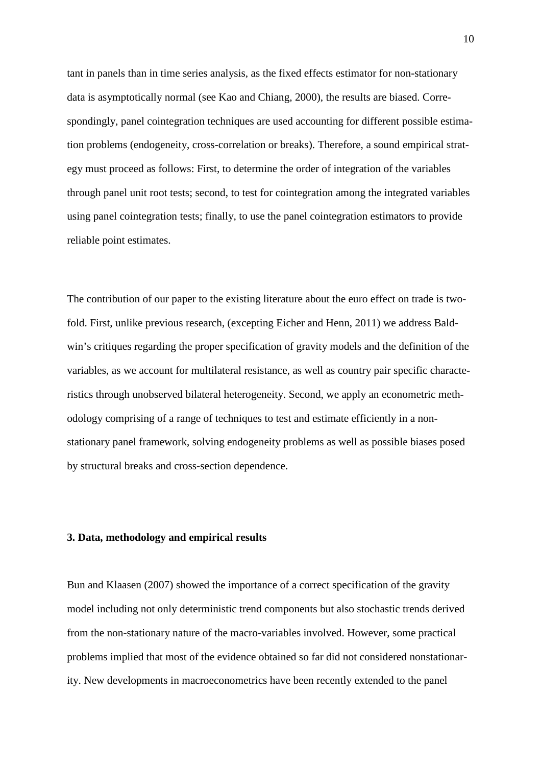tant in panels than in time series analysis, as the fixed effects estimator for non-stationary data is asymptotically normal (see Kao and Chiang, 2000), the results are biased. Correspondingly, panel cointegration techniques are used accounting for different possible estimation problems (endogeneity, cross-correlation or breaks). Therefore, a sound empirical strategy must proceed as follows: First, to determine the order of integration of the variables through panel unit root tests; second, to test for cointegration among the integrated variables using panel cointegration tests; finally, to use the panel cointegration estimators to provide reliable point estimates.

The contribution of our paper to the existing literature about the euro effect on trade is twofold. First, unlike previous research, (excepting Eicher and Henn, 2011) we address Baldwin's critiques regarding the proper specification of gravity models and the definition of the variables, as we account for multilateral resistance, as well as country pair specific characteristics through unobserved bilateral heterogeneity. Second, we apply an econometric methodology comprising of a range of techniques to test and estimate efficiently in a nonstationary panel framework, solving endogeneity problems as well as possible biases posed by structural breaks and cross-section dependence.

## **3. Data, methodology and empirical results**

Bun and Klaasen (2007) showed the importance of a correct specification of the gravity model including not only deterministic trend components but also stochastic trends derived from the non-stationary nature of the macro-variables involved. However, some practical problems implied that most of the evidence obtained so far did not considered nonstationarity. New developments in macroeconometrics have been recently extended to the panel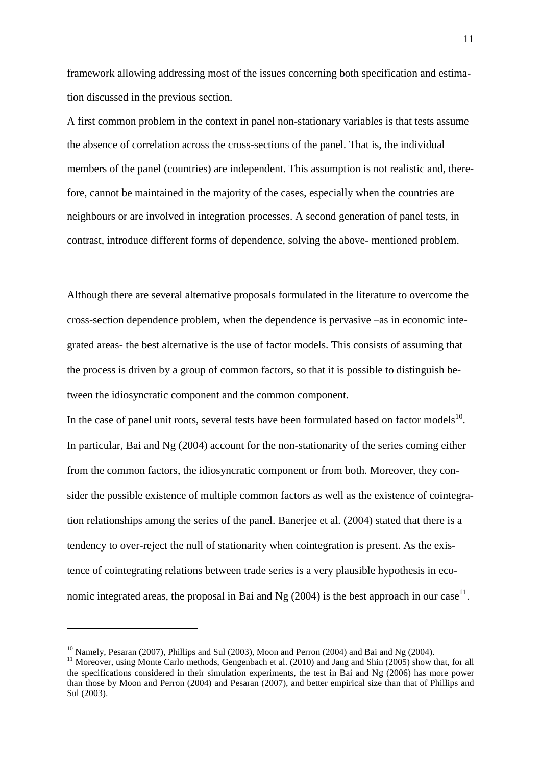framework allowing addressing most of the issues concerning both specification and estimation discussed in the previous section.

A first common problem in the context in panel non-stationary variables is that tests assume the absence of correlation across the cross-sections of the panel. That is, the individual members of the panel (countries) are independent. This assumption is not realistic and, therefore, cannot be maintained in the majority of the cases, especially when the countries are neighbours or are involved in integration processes. A second generation of panel tests, in contrast, introduce different forms of dependence, solving the above- mentioned problem.

Although there are several alternative proposals formulated in the literature to overcome the cross-section dependence problem, when the dependence is pervasive –as in economic integrated areas- the best alternative is the use of factor models. This consists of assuming that the process is driven by a group of common factors, so that it is possible to distinguish between the idiosyncratic component and the common component.

In the case of panel unit roots, several tests have been formulated based on factor models $^{10}$ . In particular, Bai and Ng (2004) account for the non-stationarity of the series coming either from the common factors, the idiosyncratic component or from both. Moreover, they consider the possible existence of multiple common factors as well as the existence of cointegration relationships among the series of the panel. Banerjee et al. (2004) stated that there is a tendency to over-reject the null of stationarity when cointegration is present. As the existence of cointegrating relations between trade series is a very plausible hypothesis in economic integrated areas, the proposal in Bai and Ng (2004) is the best approach in our case<sup>11</sup>.

 $^{10}$  Namely, Pesaran (2007), Phillips and Sul (2003), Moon and Perron (2004) and Bai and Ng (2004).

<sup>&</sup>lt;sup>11</sup> Moreover, using Monte Carlo methods, Gengenbach et al. (2010) and Jang and Shin (2005) show that, for all the specifications considered in their simulation experiments, the test in Bai and Ng (2006) has more power than those by Moon and Perron (2004) and Pesaran (2007), and better empirical size than that of Phillips and Sul (2003).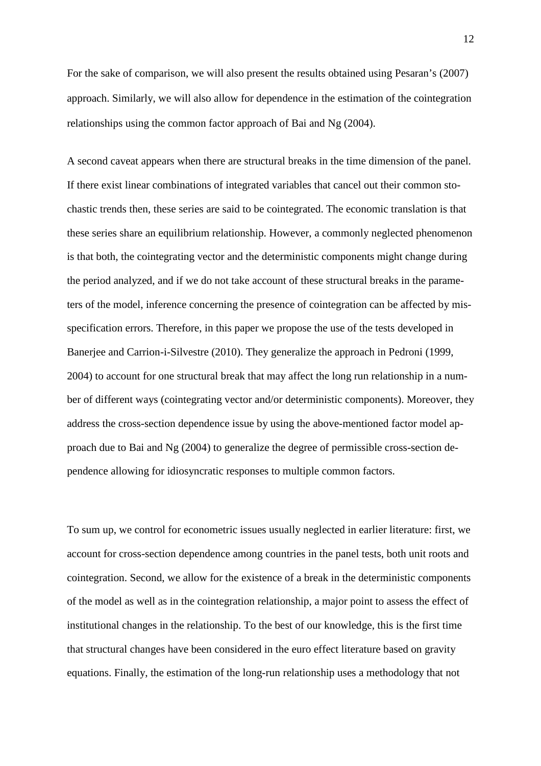For the sake of comparison, we will also present the results obtained using Pesaran's (2007) approach. Similarly, we will also allow for dependence in the estimation of the cointegration relationships using the common factor approach of Bai and Ng (2004).

A second caveat appears when there are structural breaks in the time dimension of the panel. If there exist linear combinations of integrated variables that cancel out their common stochastic trends then, these series are said to be cointegrated. The economic translation is that these series share an equilibrium relationship. However, a commonly neglected phenomenon is that both, the cointegrating vector and the deterministic components might change during the period analyzed, and if we do not take account of these structural breaks in the parameters of the model, inference concerning the presence of cointegration can be affected by misspecification errors. Therefore, in this paper we propose the use of the tests developed in Banerjee and Carrion-i-Silvestre (2010). They generalize the approach in Pedroni (1999, 2004) to account for one structural break that may affect the long run relationship in a number of different ways (cointegrating vector and/or deterministic components). Moreover, they address the cross-section dependence issue by using the above-mentioned factor model approach due to Bai and Ng (2004) to generalize the degree of permissible cross-section dependence allowing for idiosyncratic responses to multiple common factors.

To sum up, we control for econometric issues usually neglected in earlier literature: first, we account for cross-section dependence among countries in the panel tests, both unit roots and cointegration. Second, we allow for the existence of a break in the deterministic components of the model as well as in the cointegration relationship, a major point to assess the effect of institutional changes in the relationship. To the best of our knowledge, this is the first time that structural changes have been considered in the euro effect literature based on gravity equations. Finally, the estimation of the long-run relationship uses a methodology that not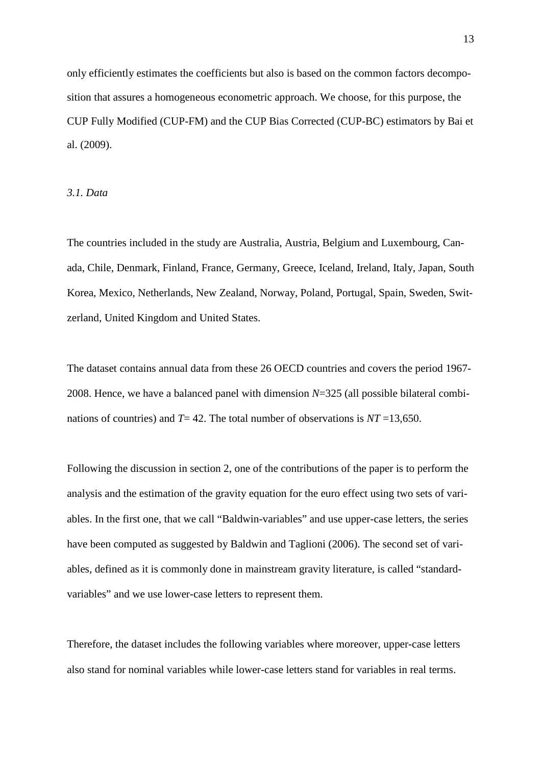only efficiently estimates the coefficients but also is based on the common factors decomposition that assures a homogeneous econometric approach. We choose, for this purpose, the CUP Fully Modified (CUP-FM) and the CUP Bias Corrected (CUP-BC) estimators by Bai et al. (2009).

*3.1. Data* 

The countries included in the study are Australia, Austria, Belgium and Luxembourg, Canada, Chile, Denmark, Finland, France, Germany, Greece, Iceland, Ireland, Italy, Japan, South Korea, Mexico, Netherlands, New Zealand, Norway, Poland, Portugal, Spain, Sweden, Switzerland, United Kingdom and United States.

The dataset contains annual data from these 26 OECD countries and covers the period 1967- 2008. Hence, we have a balanced panel with dimension *N*=325 (all possible bilateral combinations of countries) and *T*= 42. The total number of observations is *NT* =13,650.

Following the discussion in section 2, one of the contributions of the paper is to perform the analysis and the estimation of the gravity equation for the euro effect using two sets of variables. In the first one, that we call "Baldwin-variables" and use upper-case letters, the series have been computed as suggested by Baldwin and Taglioni (2006). The second set of variables, defined as it is commonly done in mainstream gravity literature, is called "standardvariables" and we use lower-case letters to represent them.

Therefore, the dataset includes the following variables where moreover, upper-case letters also stand for nominal variables while lower-case letters stand for variables in real terms.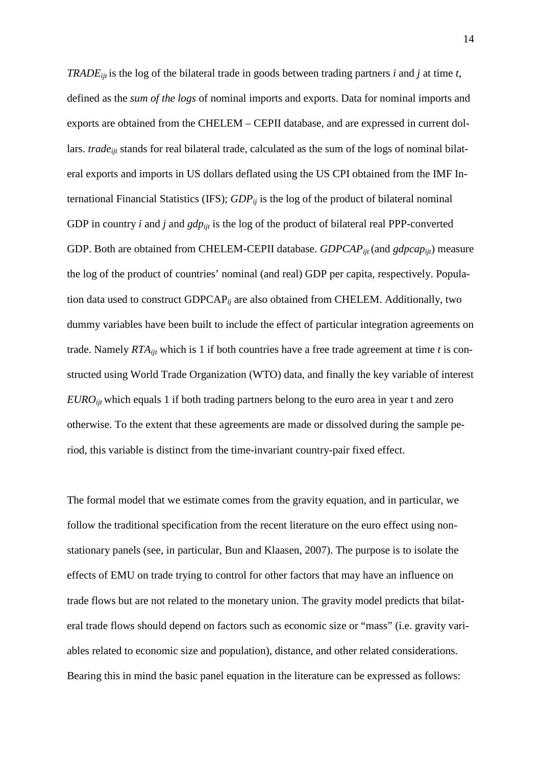*TRADEijt* is the log of the bilateral trade in goods between trading partners *i* and *j* at time *t*, defined as the *sum of the logs* of nominal imports and exports. Data for nominal imports and exports are obtained from the CHELEM – CEPII database, and are expressed in current dollars. *trade<sub>it</sub>* stands for real bilateral trade, calculated as the sum of the logs of nominal bilateral exports and imports in US dollars deflated using the US CPI obtained from the IMF International Financial Statistics (IFS); *GDPij* is the log of the product of bilateral nominal GDP in country *i* and *j* and *gdp*<sub>*iit*</sub> is the log of the product of bilateral real PPP-converted GDP. Both are obtained from CHELEM-CEPII database. *GDPCAP*<sub>iit</sub> (and *gdpcap*<sub>iit</sub>) measure the log of the product of countries' nominal (and real) GDP per capita, respectively. Population data used to construct GDPCAP*ij* are also obtained from CHELEM. Additionally, two dummy variables have been built to include the effect of particular integration agreements on trade. Namely *RTAijt* which is 1 if both countries have a free trade agreement at time *t* is constructed using World Trade Organization (WTO) data, and finally the key variable of interest *EURO*<sub>iit</sub> which equals 1 if both trading partners belong to the euro area in year t and zero otherwise. To the extent that these agreements are made or dissolved during the sample period, this variable is distinct from the time-invariant country-pair fixed effect.

The formal model that we estimate comes from the gravity equation, and in particular, we follow the traditional specification from the recent literature on the euro effect using nonstationary panels (see, in particular, Bun and Klaasen, 2007). The purpose is to isolate the effects of EMU on trade trying to control for other factors that may have an influence on trade flows but are not related to the monetary union. The gravity model predicts that bilateral trade flows should depend on factors such as economic size or "mass" (i.e. gravity variables related to economic size and population), distance, and other related considerations. Bearing this in mind the basic panel equation in the literature can be expressed as follows: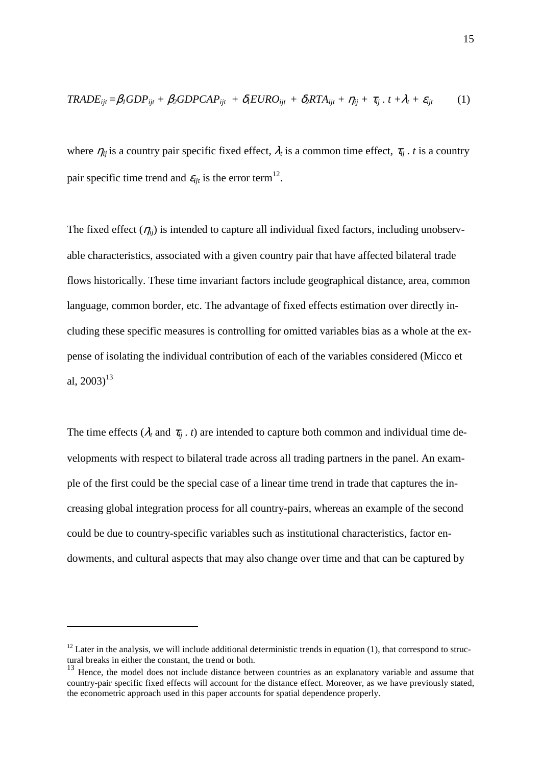$$
TRADE_{ijt} = \beta_I GDP_{ijt} + \beta_2 GDPCAP_{ijt} + \delta_I EURO_{ijt} + \delta_2 RTA_{ijt} + \eta_{ij} + \tau_{ij} \cdot t + \lambda_t + \varepsilon_{ijt}
$$
 (1)

where  $\eta_{ij}$  is a country pair specific fixed effect,  $\lambda_t$  is a common time effect,  $\tau_{ij}$  *. t* is a country pair specific time trend and  $\varepsilon_{ijt}$  is the error term<sup>12</sup>.

The fixed effect  $(\eta_{ii})$  is intended to capture all individual fixed factors, including unobservable characteristics, associated with a given country pair that have affected bilateral trade flows historically. These time invariant factors include geographical distance, area, common language, common border, etc. The advantage of fixed effects estimation over directly including these specific measures is controlling for omitted variables bias as a whole at the expense of isolating the individual contribution of each of the variables considered (Micco et al,  $2003$ <sup>13</sup>

The time effects ( $\lambda_t$  and  $\tau_{ii}$ , t) are intended to capture both common and individual time developments with respect to bilateral trade across all trading partners in the panel. An example of the first could be the special case of a linear time trend in trade that captures the increasing global integration process for all country-pairs, whereas an example of the second could be due to country-specific variables such as institutional characteristics, factor endowments, and cultural aspects that may also change over time and that can be captured by

 $12$  Later in the analysis, we will include additional deterministic trends in equation (1), that correspond to structural breaks in either the constant, the trend or both.

<sup>&</sup>lt;sup>13</sup> Hence, the model does not include distance between countries as an explanatory variable and assume that country-pair specific fixed effects will account for the distance effect. Moreover, as we have previously stated, the econometric approach used in this paper accounts for spatial dependence properly.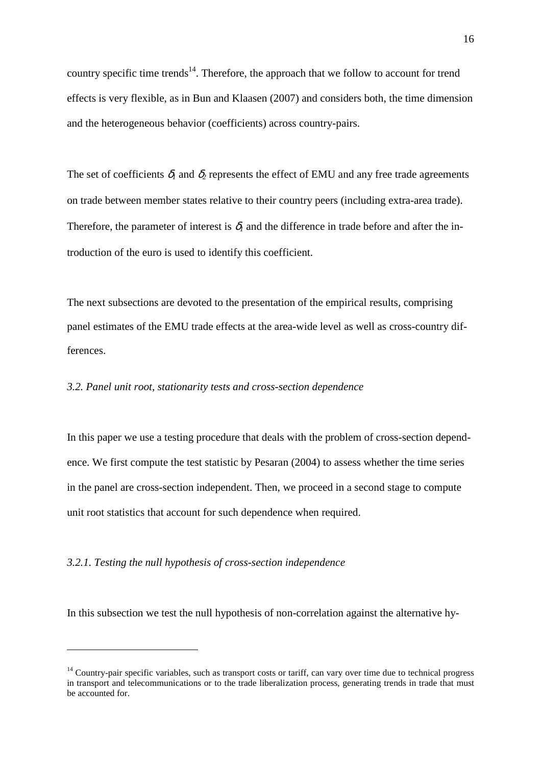country specific time trends<sup>14</sup>. Therefore, the approach that we follow to account for trend effects is very flexible, as in Bun and Klaasen (2007) and considers both, the time dimension and the heterogeneous behavior (coefficients) across country-pairs.

The set of coefficients  $\delta_l$  and  $\delta_2$  represents the effect of EMU and any free trade agreements on trade between member states relative to their country peers (including extra-area trade). Therefore, the parameter of interest is  $\delta_l$  and the difference in trade before and after the introduction of the euro is used to identify this coefficient.

The next subsections are devoted to the presentation of the empirical results, comprising panel estimates of the EMU trade effects at the area-wide level as well as cross-country differences.

## *3.2. Panel unit root, stationarity tests and cross-section dependence*

In this paper we use a testing procedure that deals with the problem of cross-section dependence. We first compute the test statistic by Pesaran (2004) to assess whether the time series in the panel are cross-section independent. Then, we proceed in a second stage to compute unit root statistics that account for such dependence when required.

## *3.2.1. Testing the null hypothesis of cross-section independence*

 $\overline{a}$ 

In this subsection we test the null hypothesis of non-correlation against the alternative hy-

 $14$  Country-pair specific variables, such as transport costs or tariff, can vary over time due to technical progress in transport and telecommunications or to the trade liberalization process, generating trends in trade that must be accounted for.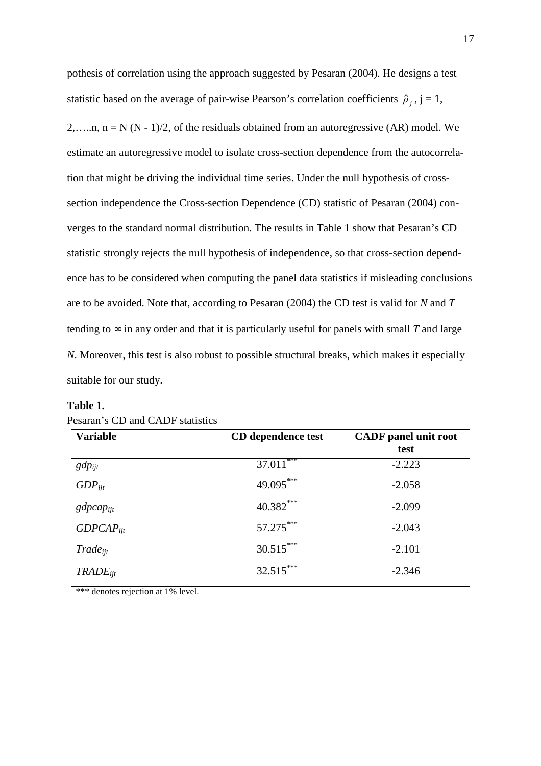pothesis of correlation using the approach suggested by Pesaran (2004). He designs a test statistic based on the average of pair-wise Pearson's correlation coefficients  $\hat{\rho}_j$ ,  $j = 1$ , 2,....,  $n = N (N - 1)/2$ , of the residuals obtained from an autoregressive (AR) model. We estimate an autoregressive model to isolate cross-section dependence from the autocorrelation that might be driving the individual time series. Under the null hypothesis of crosssection independence the Cross-section Dependence (CD) statistic of Pesaran (2004) converges to the standard normal distribution. The results in Table 1 show that Pesaran's CD statistic strongly rejects the null hypothesis of independence, so that cross-section dependence has to be considered when computing the panel data statistics if misleading conclusions are to be avoided. Note that, according to Pesaran (2004) the CD test is valid for *N* and *T* tending to  $\infty$  in any order and that it is particularly useful for panels with small *T* and large *N*. Moreover, this test is also robust to possible structural breaks, which makes it especially suitable for our study.

| <b>Variable</b> | CD dependence test | <b>CADF</b> panel unit root<br>test |  |  |
|-----------------|--------------------|-------------------------------------|--|--|
| $gdp_{ijt}$     | $37.011***$        | $-2.223$                            |  |  |
| $GDP_{ii}$      | 49.095***          | $-2.058$                            |  |  |
| $gdpcap_{ijt}$  | 40.382***          | $-2.099$                            |  |  |
| $GDPCAP_{ii}$   | 57.275***          | $-2.043$                            |  |  |
| $Trade_{ii}$    | $30.515***$        | $-2.101$                            |  |  |
| $TRADE_{ijt}$   | $32.515***$        | $-2.346$                            |  |  |

## **Table 1.**

\*\*\* denotes rejection at 1% level.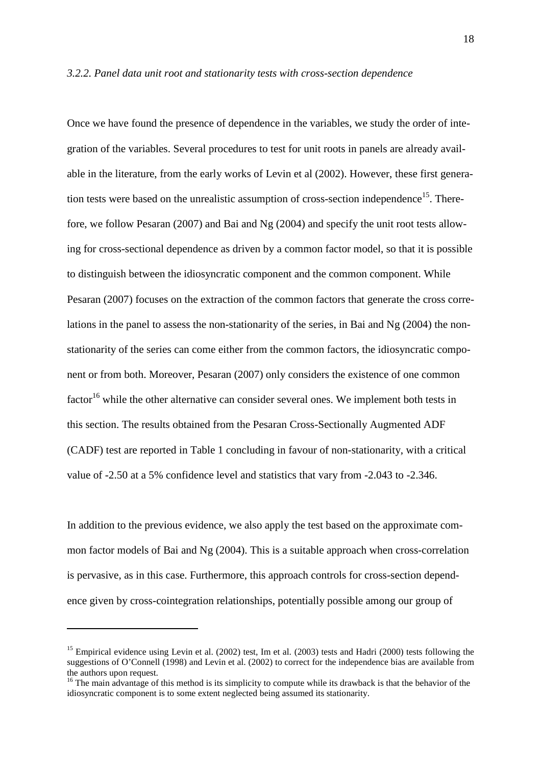#### *3.2.2. Panel data unit root and stationarity tests with cross-section dependence*

Once we have found the presence of dependence in the variables, we study the order of integration of the variables. Several procedures to test for unit roots in panels are already available in the literature, from the early works of Levin et al (2002). However, these first generation tests were based on the unrealistic assumption of cross-section independence<sup>15</sup>. Therefore, we follow Pesaran (2007) and Bai and Ng (2004) and specify the unit root tests allowing for cross-sectional dependence as driven by a common factor model, so that it is possible to distinguish between the idiosyncratic component and the common component. While Pesaran (2007) focuses on the extraction of the common factors that generate the cross correlations in the panel to assess the non-stationarity of the series, in Bai and Ng (2004) the nonstationarity of the series can come either from the common factors, the idiosyncratic component or from both. Moreover, Pesaran (2007) only considers the existence of one common  $factor<sup>16</sup>$  while the other alternative can consider several ones. We implement both tests in this section. The results obtained from the Pesaran Cross-Sectionally Augmented ADF (CADF) test are reported in Table 1 concluding in favour of non-stationarity, with a critical value of -2.50 at a 5% confidence level and statistics that vary from -2.043 to -2.346.

In addition to the previous evidence, we also apply the test based on the approximate common factor models of Bai and Ng (2004). This is a suitable approach when cross-correlation is pervasive, as in this case. Furthermore, this approach controls for cross-section dependence given by cross-cointegration relationships, potentially possible among our group of

<sup>&</sup>lt;sup>15</sup> Empirical evidence using Levin et al.  $(2002)$  test, Im et al.  $(2003)$  tests and Hadri  $(2000)$  tests following the suggestions of O'Connell (1998) and Levin et al. (2002) to correct for the independence bias are available from the authors upon request.

<sup>&</sup>lt;sup>16</sup> The main advantage of this method is its simplicity to compute while its drawback is that the behavior of the idiosyncratic component is to some extent neglected being assumed its stationarity.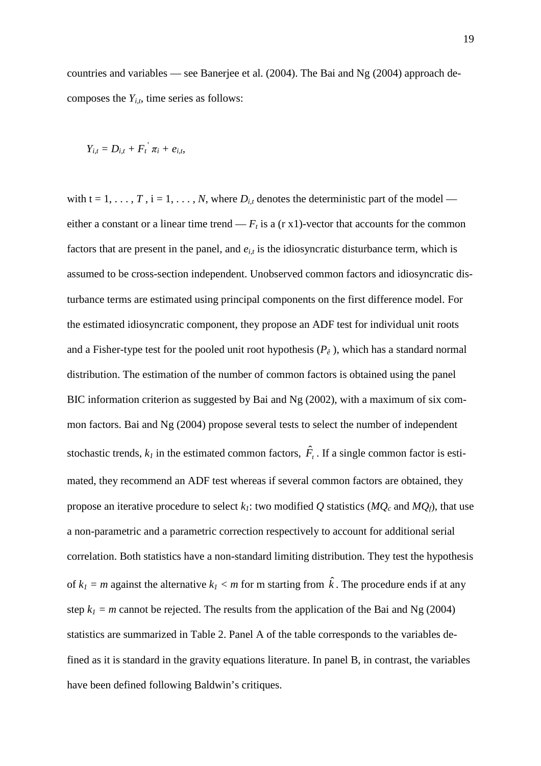countries and variables — see Banerjee et al. (2004). The Bai and Ng (2004) approach decomposes the  $Y_{i,t}$ , time series as follows:

$$
Y_{i,t}=D_{i,t}+F_i^{'}\pi_i+e_{i,t}.
$$

with  $t = 1, \ldots, T$ ,  $i = 1, \ldots, N$ , where  $D_{i,t}$  denotes the deterministic part of the model either a constant or a linear time trend —  $F_t$  is a (r x1)-vector that accounts for the common factors that are present in the panel, and  $e_{i,t}$  is the idiosyncratic disturbance term, which is assumed to be cross-section independent. Unobserved common factors and idiosyncratic disturbance terms are estimated using principal components on the first difference model. For the estimated idiosyncratic component, they propose an ADF test for individual unit roots and a Fisher-type test for the pooled unit root hypothesis (*P<sup>ê</sup>* ), which has a standard normal distribution. The estimation of the number of common factors is obtained using the panel BIC information criterion as suggested by Bai and Ng (2002), with a maximum of six common factors. Bai and Ng (2004) propose several tests to select the number of independent stochastic trends,  $k_l$  in the estimated common factors,  $\hat{F}_t$ . If a single common factor is estimated, they recommend an ADF test whereas if several common factors are obtained, they propose an iterative procedure to select  $k_l$ : two modified Q statistics ( $MQ_c$  and  $MQ_f$ ), that use a non-parametric and a parametric correction respectively to account for additional serial correlation. Both statistics have a non-standard limiting distribution. They test the hypothesis of  $k_l = m$  against the alternative  $k_l < m$  for m starting from  $\hat{k}$ . The procedure ends if at any step  $k_1 = m$  cannot be rejected. The results from the application of the Bai and Ng (2004) statistics are summarized in Table 2. Panel A of the table corresponds to the variables defined as it is standard in the gravity equations literature. In panel B, in contrast, the variables have been defined following Baldwin's critiques.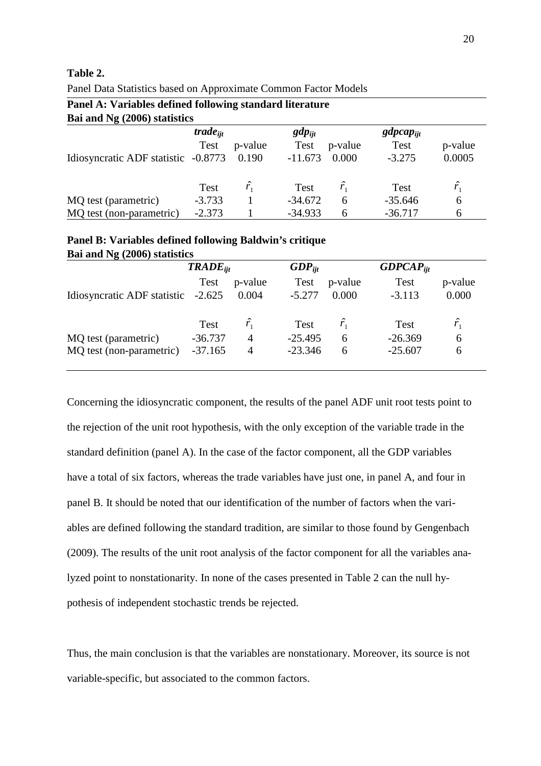## **Table 2.**

| Panel A: Variables defined following standard literature |                      |             |             |             |               |             |  |  |  |  |
|----------------------------------------------------------|----------------------|-------------|-------------|-------------|---------------|-------------|--|--|--|--|
| Bai and Ng (2006) statistics                             |                      |             |             |             |               |             |  |  |  |  |
|                                                          | trade <sub>iit</sub> |             | $gdp_{ijt}$ |             | $gdpcap_{ii}$ |             |  |  |  |  |
|                                                          | <b>Test</b>          | p-value     | <b>Test</b> | p-value     | Test          | p-value     |  |  |  |  |
| Idiosyncratic ADF statistic -0.8773                      |                      | 0.190       | $-11.673$   | 0.000       | $-3.275$      | 0.0005      |  |  |  |  |
|                                                          | Test                 | $\hat{r_1}$ | Test        | $\hat{r_1}$ | <b>Test</b>   | $\hat{r_1}$ |  |  |  |  |
| MQ test (parametric)                                     | $-3.733$             |             | $-34.672$   | 6           | $-35.646$     | 6           |  |  |  |  |
| MQ test (non-parametric)                                 | $-2.373$             |             | $-34.933$   | 6           | $-36.717$     | 6           |  |  |  |  |

Panel Data Statistics based on Approximate Common Factor Models

#### **Panel B: Variables defined following Baldwin's critique Bai and Ng (2006) statistics**

| Dal and $\mathbb{R}$ (4000) statistics |             |                |             |               |               |             |  |  |  |
|----------------------------------------|-------------|----------------|-------------|---------------|---------------|-------------|--|--|--|
|                                        | $TABLEii$   |                | $GDP_{ijt}$ |               | $GDPCAP_{ii}$ |             |  |  |  |
|                                        | <b>Test</b> | p-value        | <b>Test</b> | p-value       | Test          | p-value     |  |  |  |
| Idiosyncratic ADF statistic -2.625     |             | 0.004          | $-5.277$    | 0.000         | $-3.113$      | 0.000       |  |  |  |
|                                        | <b>Test</b> | $\hat{r}$      | <b>Test</b> | $\hat{r}_{1}$ | <b>Test</b>   | $\hat{r_1}$ |  |  |  |
| MQ test (parametric)                   | $-36.737$   | $\overline{A}$ | $-25.495$   | 6             | $-26.369$     | 6           |  |  |  |
| MQ test (non-parametric)               | $-37.165$   | $\overline{4}$ | $-23.346$   | 6             | $-25.607$     | 6           |  |  |  |
|                                        |             |                |             |               |               |             |  |  |  |

Concerning the idiosyncratic component, the results of the panel ADF unit root tests point to the rejection of the unit root hypothesis, with the only exception of the variable trade in the standard definition (panel A). In the case of the factor component, all the GDP variables have a total of six factors, whereas the trade variables have just one, in panel A, and four in panel B. It should be noted that our identification of the number of factors when the variables are defined following the standard tradition, are similar to those found by Gengenbach (2009). The results of the unit root analysis of the factor component for all the variables analyzed point to nonstationarity. In none of the cases presented in Table 2 can the null hypothesis of independent stochastic trends be rejected.

Thus, the main conclusion is that the variables are nonstationary. Moreover, its source is not variable-specific, but associated to the common factors.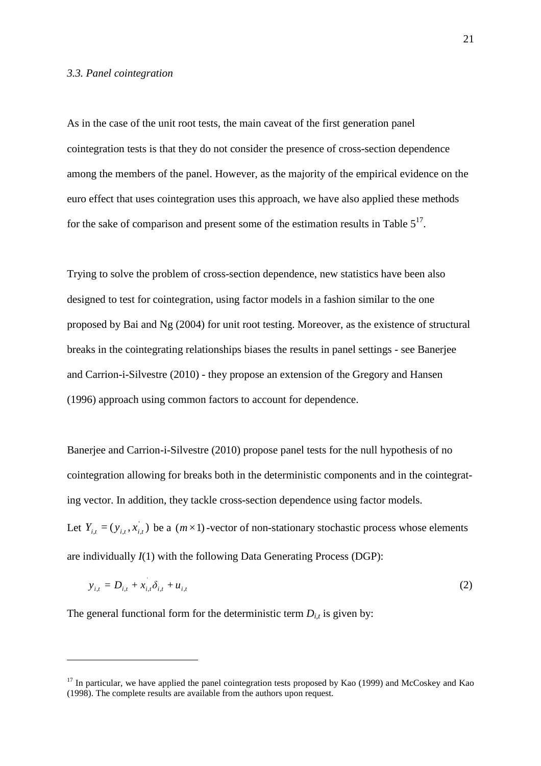#### *3.3. Panel cointegration*

As in the case of the unit root tests, the main caveat of the first generation panel cointegration tests is that they do not consider the presence of cross-section dependence among the members of the panel. However, as the majority of the empirical evidence on the euro effect that uses cointegration uses this approach, we have also applied these methods for the sake of comparison and present some of the estimation results in Table  $5^{17}$ .

Trying to solve the problem of cross-section dependence, new statistics have been also designed to test for cointegration, using factor models in a fashion similar to the one proposed by Bai and Ng (2004) for unit root testing. Moreover, as the existence of structural breaks in the cointegrating relationships biases the results in panel settings - see Banerjee and Carrion-i-Silvestre (2010) - they propose an extension of the Gregory and Hansen (1996) approach using common factors to account for dependence.

Banerjee and Carrion-i-Silvestre (2010) propose panel tests for the null hypothesis of no cointegration allowing for breaks both in the deterministic components and in the cointegrating vector. In addition, they tackle cross-section dependence using factor models. Let  $Y_{i,t} = (y_{i,t}, x_{i,t}^{\dagger})$  be a  $(m \times 1)$ -vector of non-stationary stochastic process whose elements are individually *I*(1) with the following Data Generating Process (DGP):

$$
y_{i,t} = D_{i,t} + x_{i,t} \delta_{i,t} + u_{i,t}
$$
 (2)

The general functional form for the deterministic term  $D_{i,t}$  is given by:

 $17$  In particular, we have applied the panel cointegration tests proposed by Kao (1999) and McCoskey and Kao (1998). The complete results are available from the authors upon request.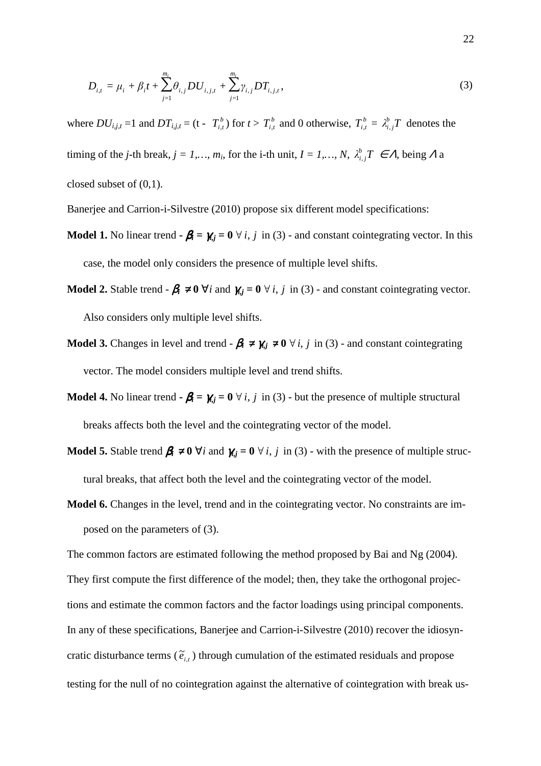$$
D_{i,t} = \mu_i + \beta_i t + \sum_{j=1}^{m_i} \theta_{i,j} D U_{i,j,t} + \sum_{j=1}^{m_i} \gamma_{i,j} D T_{i,j,t},
$$
\n(3)

where  $DU_{i,j,t} = 1$  and  $DT_{i,j,t} = (t - T_{i,t}^b)$  for  $t > T_{i,t}^b$  and 0 otherwise,  $T_{i,t}^b = \lambda_{i,j}^b T$  $\int_{i,j}^{b} T$  denotes the timing of the *j*-th break,  $j = 1, ..., m_i$ , for the i-th unit,  $I = 1, ..., N$ ,  $\lambda_{i,j}^b T \in \Lambda$ , being  $\Lambda$  a closed subset of (0,1).

Banerjee and Carrion-i-Silvestre (2010) propose six different model specifications:

- **Model 1.** No linear trend  $-\beta_i = \gamma_{i,j} = 0 \forall i, j \in \{3\}$  and constant cointegrating vector. In this case, the model only considers the presence of multiple level shifts.
- **Model 2.** Stable trend  $-\beta_i \neq 0$   $\forall i$  and  $\gamma_{i,j} = 0$   $\forall i, j$  in (3) and constant cointegrating vector. Also considers only multiple level shifts.
- **Model 3.** Changes in level and trend  $\beta_i \neq \gamma_j \neq 0 \ \forall i, j$  in (3) and constant cointegrating vector. The model considers multiple level and trend shifts.
- **Model 4.** No linear trend  $\cdot \beta_i = \gamma_{i,j} = 0 \ \forall i, j \text{ in (3)}$  but the presence of multiple structural breaks affects both the level and the cointegrating vector of the model.
- **Model 5.** Stable trend  $\beta_i \neq 0$   $\forall i$  and  $\gamma_{i,j} = 0$   $\forall i, j$  in (3) with the presence of multiple structural breaks, that affect both the level and the cointegrating vector of the model.
- **Model 6.** Changes in the level, trend and in the cointegrating vector. No constraints are imposed on the parameters of (3).

The common factors are estimated following the method proposed by Bai and Ng (2004). They first compute the first difference of the model; then, they take the orthogonal projections and estimate the common factors and the factor loadings using principal components. In any of these specifications, Banerjee and Carrion-i-Silvestre (2010) recover the idiosyncratic disturbance terms ( $\tilde{e}_{i,t}$ ) through cumulation of the estimated residuals and propose testing for the null of no cointegration against the alternative of cointegration with break us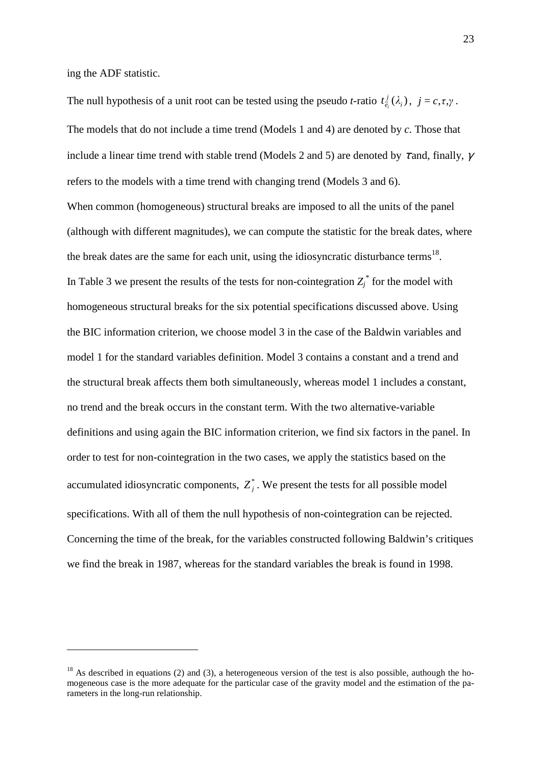ing the ADF statistic.

 $\overline{a}$ 

The null hypothesis of a unit root can be tested using the pseudo *t*-ratio  $t_{\tilde{e}_i}^j(\lambda_i)$  $t^j_{\tilde{e}_i}(\lambda_i)$ ,  $j = c, \tau, \gamma$ . The models that do not include a time trend (Models 1 and 4) are denoted by *c*. Those that include a linear time trend with stable trend (Models 2 and 5) are denoted by  $\tau$  and, finally,  $\gamma$ refers to the models with a time trend with changing trend (Models 3 and 6). When common (homogeneous) structural breaks are imposed to all the units of the panel (although with different magnitudes), we can compute the statistic for the break dates, where the break dates are the same for each unit, using the idiosyncratic disturbance terms<sup>18</sup>. In Table 3 we present the results of the tests for non-cointegration  $Z_j^*$  for the model with homogeneous structural breaks for the six potential specifications discussed above. Using the BIC information criterion, we choose model 3 in the case of the Baldwin variables and model 1 for the standard variables definition. Model 3 contains a constant and a trend and the structural break affects them both simultaneously, whereas model 1 includes a constant, no trend and the break occurs in the constant term. With the two alternative-variable definitions and using again the BIC information criterion, we find six factors in the panel. In order to test for non-cointegration in the two cases, we apply the statistics based on the accumulated idiosyncratic components,  $Z_j^*$ . We present the tests for all possible model specifications. With all of them the null hypothesis of non-cointegration can be rejected. Concerning the time of the break, for the variables constructed following Baldwin's critiques we find the break in 1987, whereas for the standard variables the break is found in 1998.

 $18$  As described in equations (2) and (3), a heterogeneous version of the test is also possible, authough the homogeneous case is the more adequate for the particular case of the gravity model and the estimation of the parameters in the long-run relationship.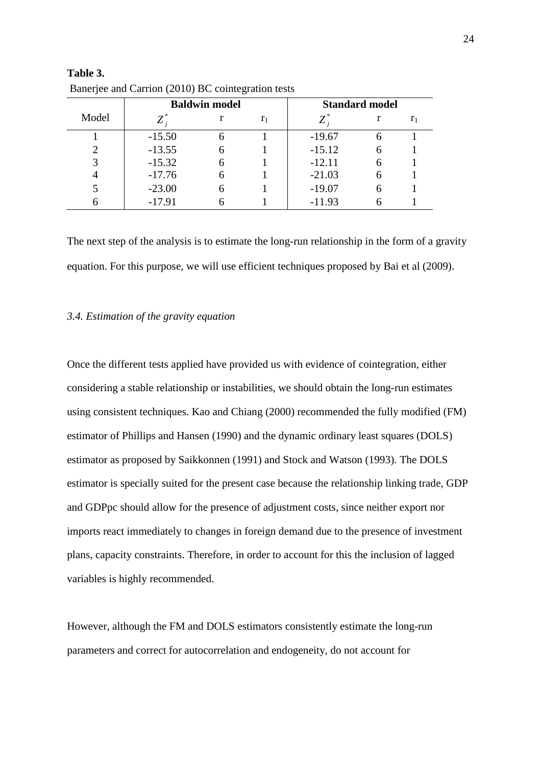|       | <b>Baldwin model</b> | <b>Standard model</b> |                |          |   |                |
|-------|----------------------|-----------------------|----------------|----------|---|----------------|
| Model | $Z^*$                |                       | r <sub>1</sub> | $Z^*$    |   | r <sub>1</sub> |
|       | $-15.50$             |                       |                | $-19.67$ |   |                |
|       | $-13.55$             |                       |                | $-15.12$ |   |                |
|       | $-15.32$             |                       |                | $-12.11$ |   |                |
|       | $-17.76$             | h                     |                | $-21.03$ | h |                |
|       | $-23.00$             |                       |                | $-19.07$ |   |                |
|       | $-17.91$             |                       |                | $-11.93$ |   |                |

**Table 3.**  Banerjee and Carrion (2010) BC cointegration tests

The next step of the analysis is to estimate the long-run relationship in the form of a gravity equation. For this purpose, we will use efficient techniques proposed by Bai et al (2009).

## *3.4. Estimation of the gravity equation*

Once the different tests applied have provided us with evidence of cointegration, either considering a stable relationship or instabilities, we should obtain the long-run estimates using consistent techniques. Kao and Chiang (2000) recommended the fully modified (FM) estimator of Phillips and Hansen (1990) and the dynamic ordinary least squares (DOLS) estimator as proposed by Saikkonnen (1991) and Stock and Watson (1993). The DOLS estimator is specially suited for the present case because the relationship linking trade, GDP and GDPpc should allow for the presence of adjustment costs, since neither export nor imports react immediately to changes in foreign demand due to the presence of investment plans, capacity constraints. Therefore, in order to account for this the inclusion of lagged variables is highly recommended.

However, although the FM and DOLS estimators consistently estimate the long-run parameters and correct for autocorrelation and endogeneity, do not account for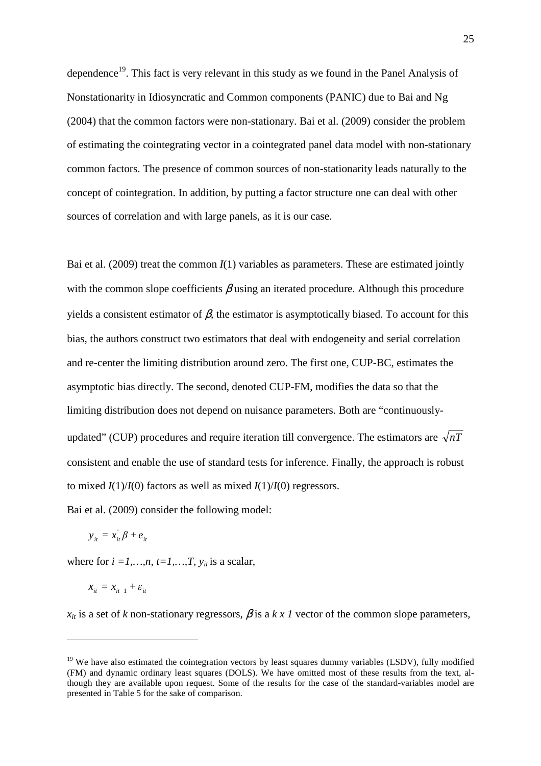dependence<sup>19</sup>. This fact is very relevant in this study as we found in the Panel Analysis of Nonstationarity in Idiosyncratic and Common components (PANIC) due to Bai and Ng (2004) that the common factors were non-stationary. Bai et al. (2009) consider the problem of estimating the cointegrating vector in a cointegrated panel data model with non-stationary common factors. The presence of common sources of non-stationarity leads naturally to the concept of cointegration. In addition, by putting a factor structure one can deal with other sources of correlation and with large panels, as it is our case.

Bai et al. (2009) treat the common  $I(1)$  variables as parameters. These are estimated jointly with the common slope coefficients  $\beta$  using an iterated procedure. Although this procedure yields a consistent estimator of  $\beta$ , the estimator is asymptotically biased. To account for this bias, the authors construct two estimators that deal with endogeneity and serial correlation and re-center the limiting distribution around zero. The first one, CUP-BC, estimates the asymptotic bias directly. The second, denoted CUP-FM, modifies the data so that the limiting distribution does not depend on nuisance parameters. Both are "continuouslyupdated" (CUP) procedures and require iteration till convergence. The estimators are  $\sqrt{nT}$ consistent and enable the use of standard tests for inference. Finally, the approach is robust to mixed  $I(1)/I(0)$  factors as well as mixed  $I(1)/I(0)$  regressors.

Bai et al. (2009) consider the following model:

$$
y_{it} = x_{it} \beta + e_{it}
$$

where for  $i = 1, \ldots, n$ ,  $t = 1, \ldots, T$ ,  $y_{it}$  is a scalar,

$$
x_{it} = x_{it-1} + \varepsilon_{it}
$$

 $\overline{a}$ 

 $x_{it}$  is a set of *k* non-stationary regressors,  $\beta$  is a *k x 1* vector of the common slope parameters,

 $19$  We have also estimated the cointegration vectors by least squares dummy variables (LSDV), fully modified (FM) and dynamic ordinary least squares (DOLS). We have omitted most of these results from the text, although they are available upon request. Some of the results for the case of the standard-variables model are presented in Table 5 for the sake of comparison.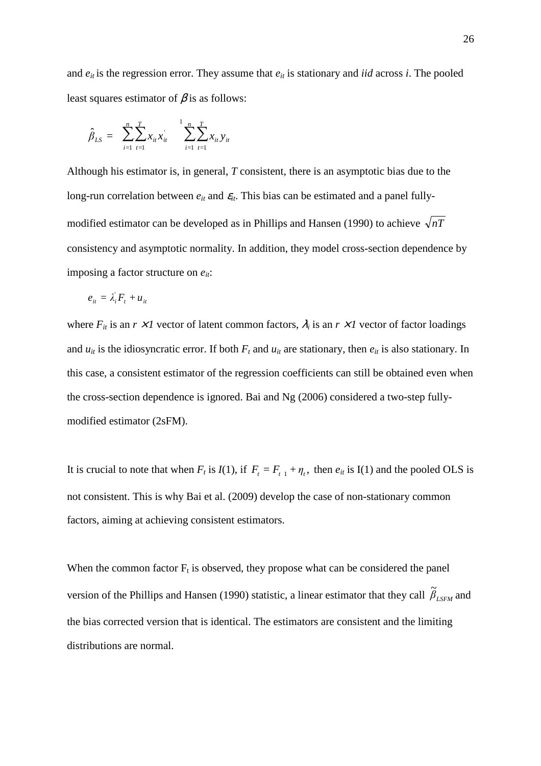and  $e_{it}$  is the regression error. They assume that  $e_{it}$  is stationary and *iid* across *i*. The pooled least squares estimator of  $\beta$  is as follows:

$$
\hat{\beta}_{LS} = \sum_{i=1}^{n} \sum_{t=1}^{T} x_{it} x_{it}^{'} \quad \sum_{i=1}^{1} \sum_{t=1}^{n} x_{it} y_{it}
$$

Although his estimator is, in general, *T* consistent, there is an asymptotic bias due to the long-run correlation between  $e_{it}$  and  $\varepsilon_{it}$ . This bias can be estimated and a panel fullymodified estimator can be developed as in Phillips and Hansen (1990) to achieve  $\sqrt{nT}$ consistency and asymptotic normality. In addition, they model cross-section dependence by imposing a factor structure on *eit*:

$$
e_{it} = \lambda_i' F_t + u_{it}
$$

where  $F_{it}$  is an  $r \times l$  vector of latent common factors,  $\lambda_i$  is an  $r \times l$  vector of factor loadings and  $u_{it}$  is the idiosyncratic error. If both  $F_t$  and  $u_{it}$  are stationary, then  $e_{it}$  is also stationary. In this case, a consistent estimator of the regression coefficients can still be obtained even when the cross-section dependence is ignored. Bai and Ng (2006) considered a two-step fullymodified estimator (2sFM).

It is crucial to note that when  $F_t$  is  $I(1)$ , if  $F_t = F_{t-1} + \eta_t$ , then  $e_{it}$  is I(1) and the pooled OLS is not consistent. This is why Bai et al. (2009) develop the case of non-stationary common factors, aiming at achieving consistent estimators.

When the common factor  $F_t$  is observed, they propose what can be considered the panel version of the Phillips and Hansen (1990) statistic, a linear estimator that they call  $\tilde{\beta}_{LSFM}$  and the bias corrected version that is identical. The estimators are consistent and the limiting distributions are normal.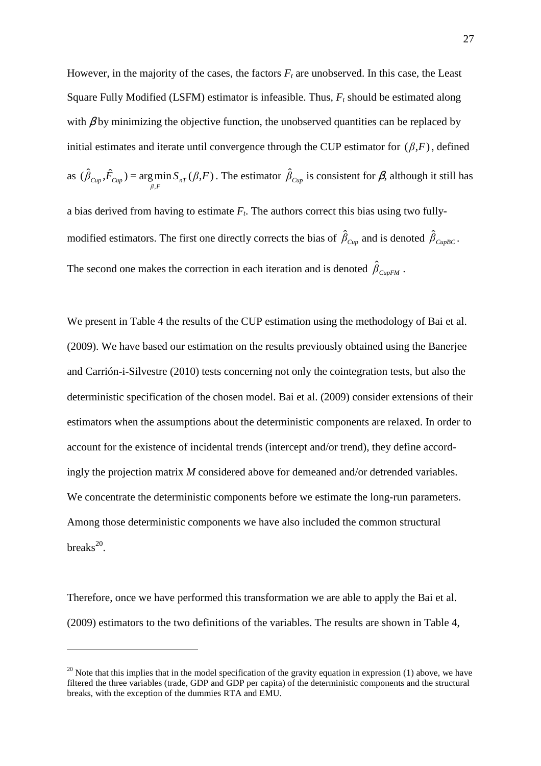However, in the majority of the cases, the factors  $F_t$  are unobserved. In this case, the Least Square Fully Modified (LSFM) estimator is infeasible. Thus, *F<sup>t</sup>* should be estimated along with  $\beta$  by minimizing the objective function, the unobserved quantities can be replaced by initial estimates and iterate until convergence through the CUP estimator for  $(\beta, F)$ , defined as  $(\hat{\beta}_{Cun}, \hat{F}_{Cun}) = \arg \min S_{nT}(\beta, F)$  $\hat{\beta}_{Cup}$ ,  $\hat{F}_{Cup}$   $=$   $\arg\min_{\beta,F} S_{nT}(\beta,F)$ . The estimator  $\hat{\beta}_{Cup}$  is consistent for  $\beta$ , although it still has a bias derived from having to estimate  $F_t$ . The authors correct this bias using two fullymodified estimators. The first one directly corrects the bias of  $\hat{\beta}_{Cup}$  and is denoted  $\hat{\beta}_{CupBC}$ . The second one makes the correction in each iteration and is denoted  $\hat{\beta}_{CupFM}$ .

We present in Table 4 the results of the CUP estimation using the methodology of Bai et al. (2009). We have based our estimation on the results previously obtained using the Banerjee and Carrión-i-Silvestre (2010) tests concerning not only the cointegration tests, but also the deterministic specification of the chosen model. Bai et al. (2009) consider extensions of their estimators when the assumptions about the deterministic components are relaxed. In order to account for the existence of incidental trends (intercept and/or trend), they define accordingly the projection matrix *M* considered above for demeaned and/or detrended variables. We concentrate the deterministic components before we estimate the long-run parameters. Among those deterministic components we have also included the common structural  $breaks^{20}$ .

Therefore, once we have performed this transformation we are able to apply the Bai et al. (2009) estimators to the two definitions of the variables. The results are shown in Table 4,

 $20$  Note that this implies that in the model specification of the gravity equation in expression (1) above, we have filtered the three variables (trade, GDP and GDP per capita) of the deterministic components and the structural breaks, with the exception of the dummies RTA and EMU.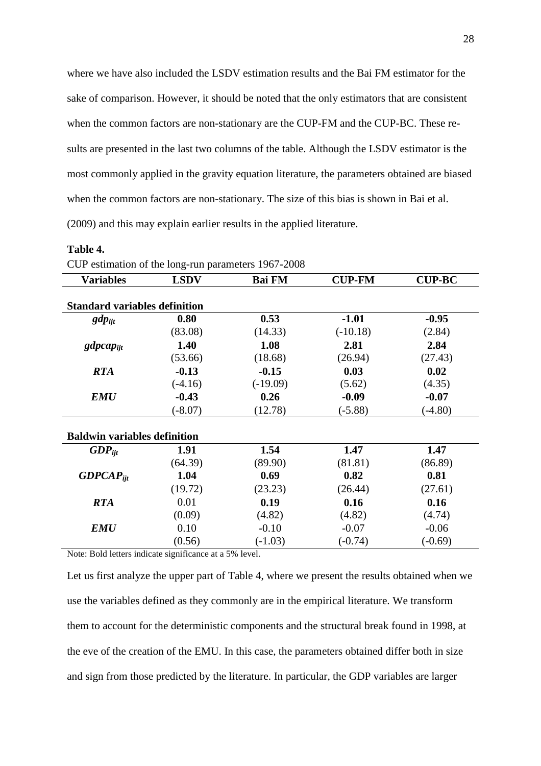where we have also included the LSDV estimation results and the Bai FM estimator for the sake of comparison. However, it should be noted that the only estimators that are consistent when the common factors are non-stationary are the CUP-FM and the CUP-BC. These results are presented in the last two columns of the table. Although the LSDV estimator is the most commonly applied in the gravity equation literature, the parameters obtained are biased when the common factors are non-stationary. The size of this bias is shown in Bai et al. (2009) and this may explain earlier results in the applied literature.

#### **Table 4.**

| CUP estimation of the long-run parameters 1967-2008 |             |            |                                |           |
|-----------------------------------------------------|-------------|------------|--------------------------------|-----------|
| <b>Variables</b>                                    | <b>LSDV</b> |            | <b>Bai FM</b><br><b>CUP-FM</b> |           |
| <b>Standard variables definition</b>                |             |            |                                |           |
| $gdp_{ijt}$                                         | 0.80        | 0.53       | $-1.01$                        | $-0.95$   |
|                                                     | (83.08)     | (14.33)    | $(-10.18)$                     | (2.84)    |
| $gdpcap_{ijt}$                                      | 1.40        | 1.08       | 2.81                           | 2.84      |
|                                                     | (53.66)     | (18.68)    | (26.94)                        | (27.43)   |
| <b>RTA</b>                                          | $-0.13$     | $-0.15$    | 0.03                           | 0.02      |
|                                                     | $(-4.16)$   | $(-19.09)$ | (5.62)                         | (4.35)    |
| <b>EMU</b>                                          | $-0.43$     | 0.26       | $-0.09$                        | $-0.07$   |
|                                                     | $(-8.07)$   | (12.78)    | $(-5.88)$                      | $(-4.80)$ |
| <b>Baldwin variables definition</b>                 |             |            |                                |           |
| $GDP_{\text{iit}}$                                  | 1.91        | 1.54       | 1.47                           | 1.47      |
|                                                     | (64.39)     | (89.90)    | (81.81)                        | (86.89)   |
| $GDPCAP_{ijt}$                                      | 1.04        | 0.69       | 0.82                           | 0.81      |
|                                                     | (19.72)     | (23.23)    | (26.44)                        | (27.61)   |
| <b>RTA</b>                                          | 0.01        | 0.19       | 0.16                           | 0.16      |
|                                                     | (0.09)      | (4.82)     | (4.82)                         | (4.74)    |
| <b>EMU</b>                                          | 0.10        | $-0.10$    | $-0.07$                        | $-0.06$   |
|                                                     | (0.56)      | $(-1.03)$  | $(-0.74)$                      | $(-0.69)$ |

Note: Bold letters indicate significance at a 5% level.

Let us first analyze the upper part of Table 4, where we present the results obtained when we use the variables defined as they commonly are in the empirical literature. We transform them to account for the deterministic components and the structural break found in 1998, at the eve of the creation of the EMU. In this case, the parameters obtained differ both in size and sign from those predicted by the literature. In particular, the GDP variables are larger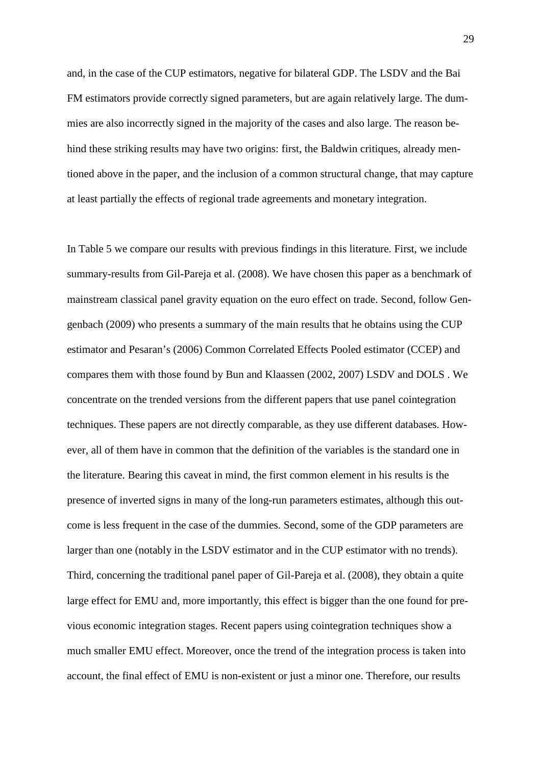and, in the case of the CUP estimators, negative for bilateral GDP. The LSDV and the Bai FM estimators provide correctly signed parameters, but are again relatively large. The dummies are also incorrectly signed in the majority of the cases and also large. The reason behind these striking results may have two origins: first, the Baldwin critiques, already mentioned above in the paper, and the inclusion of a common structural change, that may capture at least partially the effects of regional trade agreements and monetary integration.

In Table 5 we compare our results with previous findings in this literature. First, we include summary-results from Gil-Pareja et al. (2008). We have chosen this paper as a benchmark of mainstream classical panel gravity equation on the euro effect on trade. Second, follow Gengenbach (2009) who presents a summary of the main results that he obtains using the CUP estimator and Pesaran's (2006) Common Correlated Effects Pooled estimator (CCEP) and compares them with those found by Bun and Klaassen (2002, 2007) LSDV and DOLS . We concentrate on the trended versions from the different papers that use panel cointegration techniques. These papers are not directly comparable, as they use different databases. However, all of them have in common that the definition of the variables is the standard one in the literature. Bearing this caveat in mind, the first common element in his results is the presence of inverted signs in many of the long-run parameters estimates, although this outcome is less frequent in the case of the dummies. Second, some of the GDP parameters are larger than one (notably in the LSDV estimator and in the CUP estimator with no trends). Third, concerning the traditional panel paper of Gil-Pareja et al. (2008), they obtain a quite large effect for EMU and, more importantly, this effect is bigger than the one found for previous economic integration stages. Recent papers using cointegration techniques show a much smaller EMU effect. Moreover, once the trend of the integration process is taken into account, the final effect of EMU is non-existent or just a minor one. Therefore, our results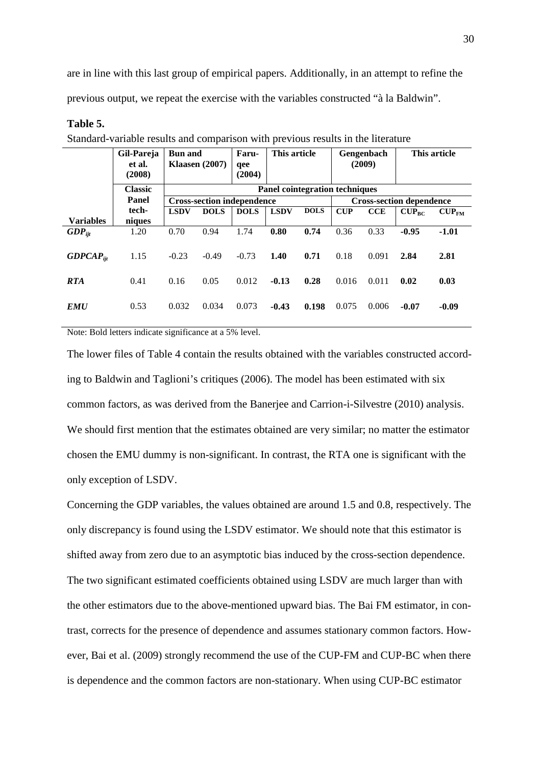are in line with this last group of empirical papers. Additionally, in an attempt to refine the previous output, we repeat the exercise with the variables constructed "à la Baldwin".

## **Table 5.**

|                    | Gil-Pareja<br>et al.<br>(2008)                                                                     | <b>Bun and</b><br><b>Klaasen</b> (2007) |             | Faru-<br>qee<br>(2004) | This article                      |                                | Gengenbach<br>(2009) |                                 | This article |                          |  |
|--------------------|----------------------------------------------------------------------------------------------------|-----------------------------------------|-------------|------------------------|-----------------------------------|--------------------------------|----------------------|---------------------------------|--------------|--------------------------|--|
|                    | <b>Classic</b>                                                                                     |                                         |             |                        |                                   | Panel cointegration techniques |                      |                                 |              |                          |  |
|                    | Panel                                                                                              |                                         |             |                        | <b>Cross-section independence</b> |                                |                      | <b>Cross-section dependence</b> |              |                          |  |
|                    | tech-                                                                                              | <b>LSDV</b>                             | <b>DOLS</b> | <b>DOLS</b>            | <b>LSDV</b>                       | <b>DOLS</b>                    | <b>CUP</b>           | CCE                             | $CUP_{BC}$   | $\text{CUP}_{\text{FM}}$ |  |
| <b>Variables</b>   | niques                                                                                             |                                         |             |                        |                                   |                                |                      |                                 |              |                          |  |
| $GDP_{\text{ijt}}$ | 1.20                                                                                               | 0.70                                    | 0.94        | 1.74                   | 0.80                              | 0.74                           | 0.36                 | 0.33                            | $-0.95$      | $-1.01$                  |  |
| $GDPCAP_{ii}$      | 1.15                                                                                               | $-0.23$                                 | $-0.49$     | $-0.73$                | 1.40                              | 0.71                           | 0.18                 | 0.091                           | 2.84         | 2.81                     |  |
| <b>RTA</b>         | 0.41                                                                                               | 0.16                                    | 0.05        | 0.012                  | $-0.13$                           | 0.28                           | 0.016                | 0.011                           | 0.02         | 0.03                     |  |
| <b>EMU</b>         | 0.53                                                                                               | 0.032                                   | 0.034       | 0.073                  | $-0.43$                           | 0.198                          | 0.075                | 0.006                           | $-0.07$      | $-0.09$                  |  |
|                    | $M_{\rm tot}$ $\sim$ D $.141.44$ and $.11.44$ and $.11.44$ and $.101.44$ and $.01.44$ and $.01.44$ |                                         |             |                        |                                   |                                |                      |                                 |              |                          |  |

Standard-variable results and comparison with previous results in the literature

Note: Bold letters indicate significance at a 5% level.

The lower files of Table 4 contain the results obtained with the variables constructed according to Baldwin and Taglioni's critiques (2006). The model has been estimated with six common factors, as was derived from the Banerjee and Carrion-i-Silvestre (2010) analysis. We should first mention that the estimates obtained are very similar; no matter the estimator chosen the EMU dummy is non-significant. In contrast, the RTA one is significant with the only exception of LSDV.

Concerning the GDP variables, the values obtained are around 1.5 and 0.8, respectively. The only discrepancy is found using the LSDV estimator. We should note that this estimator is shifted away from zero due to an asymptotic bias induced by the cross-section dependence. The two significant estimated coefficients obtained using LSDV are much larger than with the other estimators due to the above-mentioned upward bias. The Bai FM estimator, in contrast, corrects for the presence of dependence and assumes stationary common factors. However, Bai et al. (2009) strongly recommend the use of the CUP-FM and CUP-BC when there is dependence and the common factors are non-stationary. When using CUP-BC estimator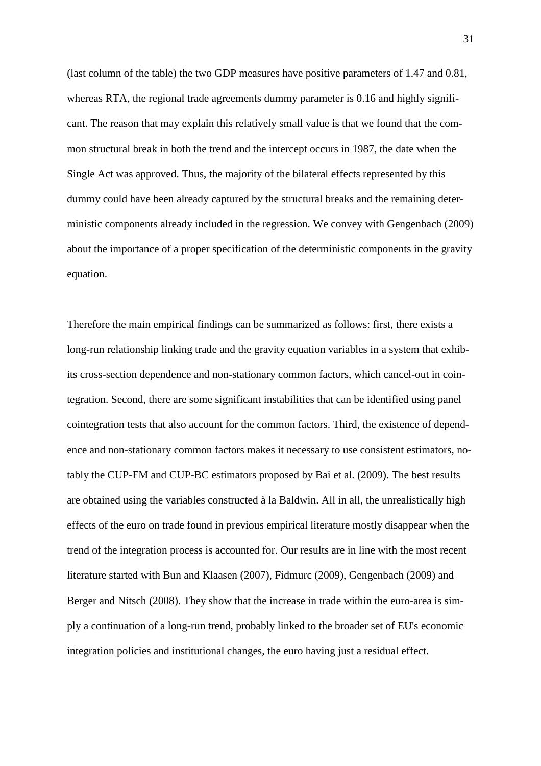(last column of the table) the two GDP measures have positive parameters of 1.47 and 0.81, whereas RTA, the regional trade agreements dummy parameter is 0.16 and highly significant. The reason that may explain this relatively small value is that we found that the common structural break in both the trend and the intercept occurs in 1987, the date when the Single Act was approved. Thus, the majority of the bilateral effects represented by this dummy could have been already captured by the structural breaks and the remaining deterministic components already included in the regression. We convey with Gengenbach (2009) about the importance of a proper specification of the deterministic components in the gravity equation.

Therefore the main empirical findings can be summarized as follows: first, there exists a long-run relationship linking trade and the gravity equation variables in a system that exhibits cross-section dependence and non-stationary common factors, which cancel-out in cointegration. Second, there are some significant instabilities that can be identified using panel cointegration tests that also account for the common factors. Third, the existence of dependence and non-stationary common factors makes it necessary to use consistent estimators, notably the CUP-FM and CUP-BC estimators proposed by Bai et al. (2009). The best results are obtained using the variables constructed à la Baldwin. All in all, the unrealistically high effects of the euro on trade found in previous empirical literature mostly disappear when the trend of the integration process is accounted for. Our results are in line with the most recent literature started with Bun and Klaasen (2007), Fidmurc (2009), Gengenbach (2009) and Berger and Nitsch (2008). They show that the increase in trade within the euro-area is simply a continuation of a long-run trend, probably linked to the broader set of EU's economic integration policies and institutional changes, the euro having just a residual effect.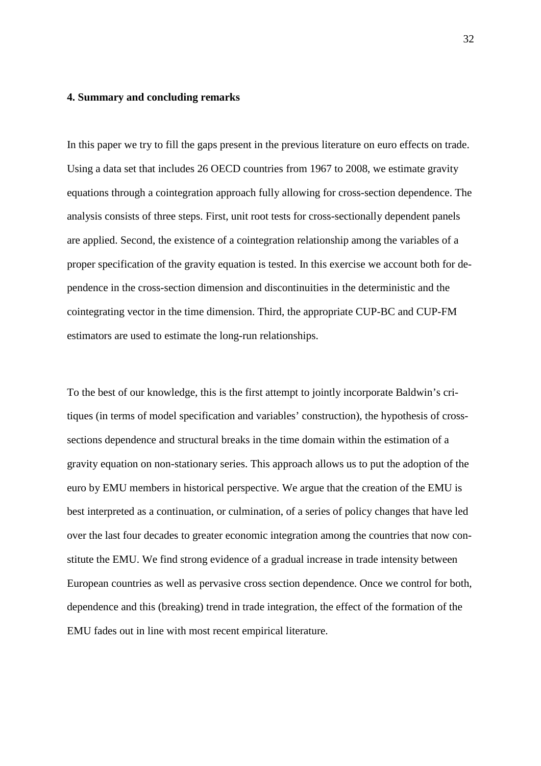#### **4. Summary and concluding remarks**

In this paper we try to fill the gaps present in the previous literature on euro effects on trade. Using a data set that includes 26 OECD countries from 1967 to 2008, we estimate gravity equations through a cointegration approach fully allowing for cross-section dependence. The analysis consists of three steps. First, unit root tests for cross-sectionally dependent panels are applied. Second, the existence of a cointegration relationship among the variables of a proper specification of the gravity equation is tested. In this exercise we account both for dependence in the cross-section dimension and discontinuities in the deterministic and the cointegrating vector in the time dimension. Third, the appropriate CUP-BC and CUP-FM estimators are used to estimate the long-run relationships.

To the best of our knowledge, this is the first attempt to jointly incorporate Baldwin's critiques (in terms of model specification and variables' construction), the hypothesis of crosssections dependence and structural breaks in the time domain within the estimation of a gravity equation on non-stationary series. This approach allows us to put the adoption of the euro by EMU members in historical perspective. We argue that the creation of the EMU is best interpreted as a continuation, or culmination, of a series of policy changes that have led over the last four decades to greater economic integration among the countries that now constitute the EMU. We find strong evidence of a gradual increase in trade intensity between European countries as well as pervasive cross section dependence. Once we control for both, dependence and this (breaking) trend in trade integration, the effect of the formation of the EMU fades out in line with most recent empirical literature.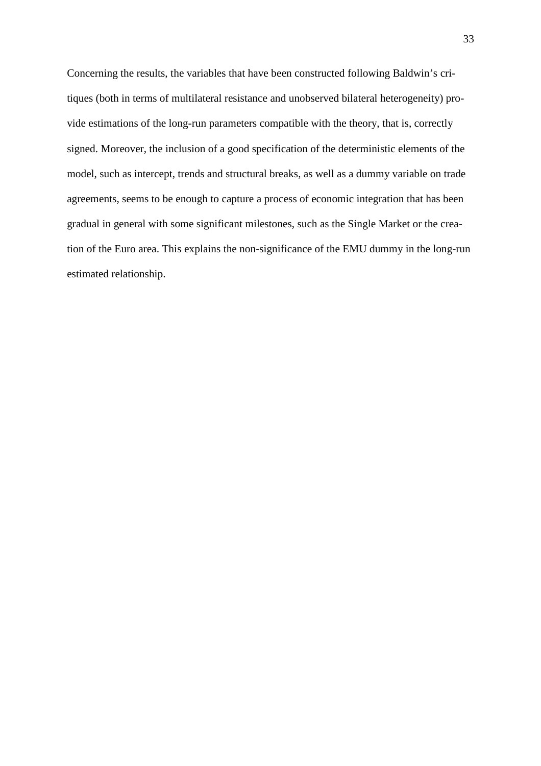Concerning the results, the variables that have been constructed following Baldwin's critiques (both in terms of multilateral resistance and unobserved bilateral heterogeneity) provide estimations of the long-run parameters compatible with the theory, that is, correctly signed. Moreover, the inclusion of a good specification of the deterministic elements of the model, such as intercept, trends and structural breaks, as well as a dummy variable on trade agreements, seems to be enough to capture a process of economic integration that has been gradual in general with some significant milestones, such as the Single Market or the creation of the Euro area. This explains the non-significance of the EMU dummy in the long-run estimated relationship.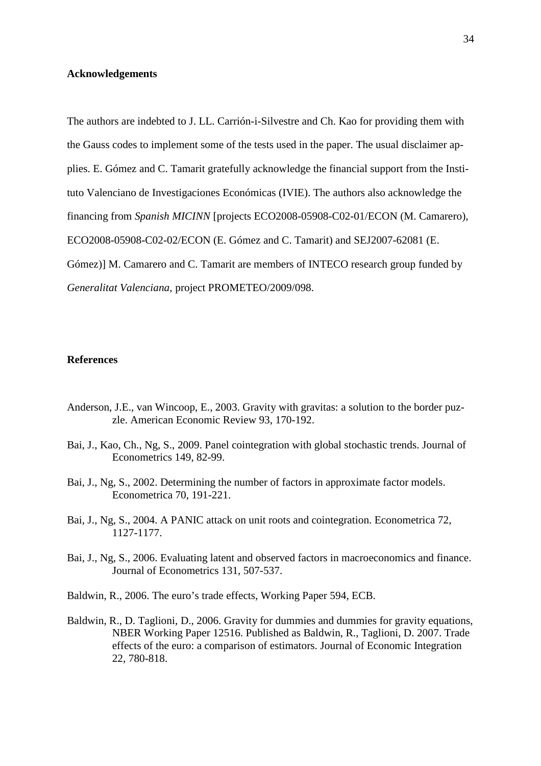#### **Acknowledgements**

The authors are indebted to J. LL. Carrión-i-Silvestre and Ch. Kao for providing them with the Gauss codes to implement some of the tests used in the paper. The usual disclaimer applies. E. Gómez and C. Tamarit gratefully acknowledge the financial support from the Instituto Valenciano de Investigaciones Económicas (IVIE). The authors also acknowledge the financing from *Spanish MICINN* [projects ECO2008-05908-C02-01/ECON (M. Camarero), ECO2008-05908-C02-02/ECON (E. Gómez and C. Tamarit) and SEJ2007-62081 (E. Gómez)] M. Camarero and C. Tamarit are members of INTECO research group funded by *Generalitat Valenciana,* project PROMETEO/2009/098.

## **References**

- Anderson, J.E., van Wincoop, E., 2003. Gravity with gravitas: a solution to the border puzzle. American Economic Review 93, 170-192.
- Bai, J., Kao, Ch., Ng, S., 2009. Panel cointegration with global stochastic trends. Journal of Econometrics 149, 82-99.
- Bai, J., Ng, S., 2002. Determining the number of factors in approximate factor models. Econometrica 70, 191-221.
- Bai, J., Ng, S., 2004. A PANIC attack on unit roots and cointegration. Econometrica 72, 1127-1177.
- Bai, J., Ng, S., 2006. Evaluating latent and observed factors in macroeconomics and finance. Journal of Econometrics 131, 507-537.
- Baldwin, R., 2006. The euro's trade effects, Working Paper 594, ECB.
- Baldwin, R., D. Taglioni, D., 2006. Gravity for dummies and dummies for gravity equations, NBER Working Paper 12516. Published as Baldwin, R., Taglioni, D. 2007. Trade effects of the euro: a comparison of estimators. Journal of Economic Integration 22, 780-818.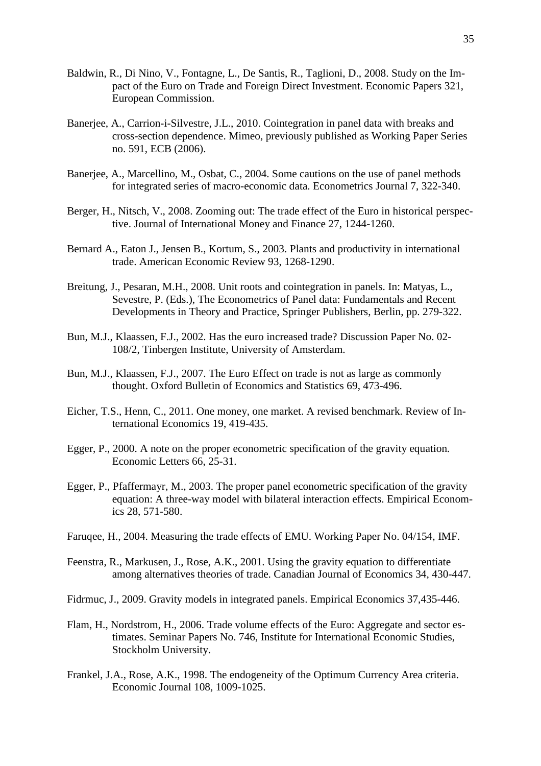- Baldwin, R., Di Nino, V., Fontagne, L., De Santis, R., Taglioni, D., 2008. Study on the Impact of the Euro on Trade and Foreign Direct Investment. Economic Papers 321, European Commission.
- Banerjee, A., Carrion-i-Silvestre, J.L., 2010. Cointegration in panel data with breaks and cross-section dependence. Mimeo, previously published as Working Paper Series no. 591, ECB (2006).
- Banerjee, A., Marcellino, M., Osbat, C., 2004. Some cautions on the use of panel methods for integrated series of macro-economic data. Econometrics Journal 7, 322-340.
- Berger, H., Nitsch, V., 2008. Zooming out: The trade effect of the Euro in historical perspective. Journal of International Money and Finance 27, 1244-1260.
- Bernard A., Eaton J., Jensen B., Kortum, S., 2003. Plants and productivity in international trade. American Economic Review 93, 1268-1290.
- Breitung, J., Pesaran, M.H., 2008. Unit roots and cointegration in panels. In: Matyas, L., Sevestre, P. (Eds.), The Econometrics of Panel data: Fundamentals and Recent Developments in Theory and Practice, Springer Publishers, Berlin, pp. 279-322.
- Bun, M.J., Klaassen, F.J., 2002. Has the euro increased trade? Discussion Paper No. 02- 108/2, Tinbergen Institute, University of Amsterdam.
- Bun, M.J., Klaassen, F.J., 2007. The Euro Effect on trade is not as large as commonly thought. Oxford Bulletin of Economics and Statistics 69, 473-496.
- Eicher, T.S., Henn, C., 2011. One money, one market. A revised benchmark. Review of International Economics 19, 419-435.
- Egger, P., 2000. A note on the proper econometric specification of the gravity equation*.*  Economic Letters 66, 25-31.
- Egger, P., Pfaffermayr, M., 2003. The proper panel econometric specification of the gravity equation: A three-way model with bilateral interaction effects. Empirical Economics 28, 571-580.
- Faruqee, H., 2004. Measuring the trade effects of EMU. Working Paper No. 04/154, IMF.
- Feenstra, R., Markusen, J., Rose, A.K., 2001. Using the gravity equation to differentiate among alternatives theories of trade. Canadian Journal of Economics 34, 430-447.
- Fidrmuc, J., 2009. Gravity models in integrated panels. Empirical Economics 37,435-446.
- Flam, H., Nordstrom, H., 2006. Trade volume effects of the Euro: Aggregate and sector estimates. Seminar Papers No. 746, Institute for International Economic Studies, Stockholm University.
- Frankel, J.A., Rose, A.K., 1998. The endogeneity of the Optimum Currency Area criteria. Economic Journal 108, 1009-1025.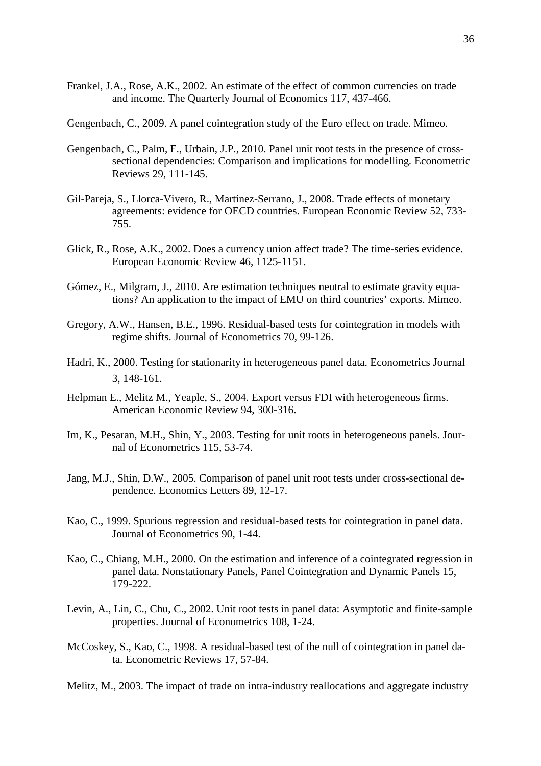- Frankel, J.A., Rose, A.K., 2002. An estimate of the effect of common currencies on trade and income. The Quarterly Journal of Economics 117, 437-466.
- Gengenbach, C., 2009. A panel cointegration study of the Euro effect on trade. Mimeo.
- Gengenbach, C., Palm, F., Urbain, J.P., 2010. Panel unit root tests in the presence of crosssectional dependencies: Comparison and implications for modelling*.* Econometric Reviews 29, 111-145.
- Gil-Pareja, S., Llorca-Vivero, R., Martínez-Serrano, J., 2008. Trade effects of monetary agreements: evidence for OECD countries. European Economic Review 52, 733- 755.
- Glick, R., Rose, A.K., 2002. Does a currency union affect trade? The time-series evidence. European Economic Review 46, 1125-1151.
- Gómez, E., Milgram, J., 2010. Are estimation techniques neutral to estimate gravity equations? An application to the impact of EMU on third countries' exports. Mimeo.
- Gregory, A.W., Hansen, B.E., 1996. Residual-based tests for cointegration in models with regime shifts. Journal of Econometrics 70, 99-126.
- Hadri, K., 2000. Testing for stationarity in heterogeneous panel data. Econometrics Journal 3, 148-161.
- Helpman E., Melitz M., Yeaple, S., 2004. Export versus FDI with heterogeneous firms. American Economic Review 94, 300-316.
- Im, K., Pesaran, M.H., Shin, Y., 2003. Testing for unit roots in heterogeneous panels. Journal of Econometrics 115, 53-74.
- Jang, M.J., Shin, D.W., 2005. Comparison of panel unit root tests under cross-sectional dependence. Economics Letters 89, 12-17.
- Kao, C., 1999. Spurious regression and residual-based tests for cointegration in panel data. Journal of Econometrics 90, 1-44.
- Kao, C., Chiang, M.H., 2000. On the estimation and inference of a cointegrated regression in panel data. Nonstationary Panels, Panel Cointegration and Dynamic Panels 15, 179-222.
- Levin, A., Lin, C., Chu, C., 2002. Unit root tests in panel data: Asymptotic and finite-sample properties. Journal of Econometrics 108, 1-24.
- McCoskey, S., Kao, C., 1998. A residual-based test of the null of cointegration in panel data. Econometric Reviews 17, 57-84.

Melitz, M., 2003. The impact of trade on intra-industry reallocations and aggregate industry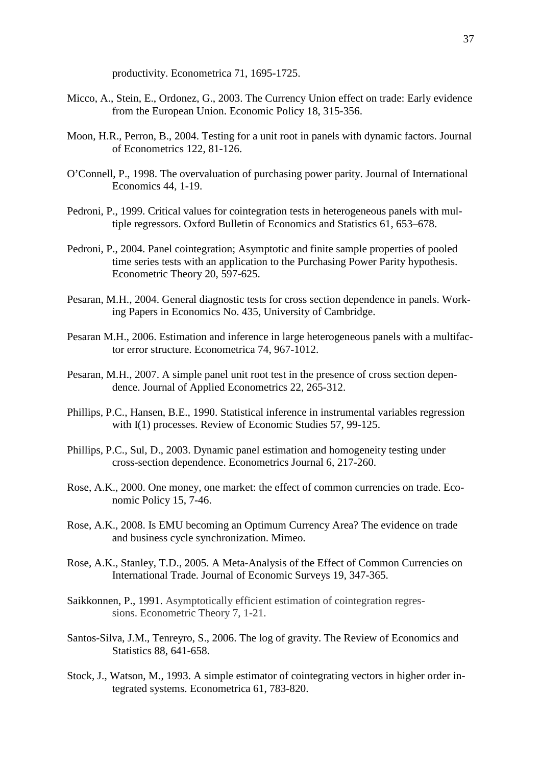productivity. Econometrica 71, 1695-1725.

- Micco, A., Stein, E., Ordonez, G., 2003. The Currency Union effect on trade: Early evidence from the European Union. Economic Policy 18, 315-356.
- Moon, H.R., Perron, B., 2004. Testing for a unit root in panels with dynamic factors. Journal of Econometrics 122, 81-126.
- O'Connell, P., 1998. The overvaluation of purchasing power parity. Journal of International Economics 44, 1-19.
- Pedroni, P., 1999. Critical values for cointegration tests in heterogeneous panels with multiple regressors. Oxford Bulletin of Economics and Statistics 61, 653–678.
- Pedroni, P., 2004. Panel cointegration; Asymptotic and finite sample properties of pooled time series tests with an application to the Purchasing Power Parity hypothesis. Econometric Theory 20, 597-625.
- Pesaran, M.H., 2004. General diagnostic tests for cross section dependence in panels. Working Papers in Economics No. 435, University of Cambridge.
- Pesaran M.H., 2006. Estimation and inference in large heterogeneous panels with a multifactor error structure. Econometrica 74, 967-1012.
- Pesaran, M.H., 2007. A simple panel unit root test in the presence of cross section dependence. Journal of Applied Econometrics 22, 265-312.
- Phillips, P.C., Hansen, B.E., 1990. Statistical inference in instrumental variables regression with I(1) processes. Review of Economic Studies 57, 99-125.
- Phillips, P.C., Sul, D., 2003. Dynamic panel estimation and homogeneity testing under cross-section dependence. Econometrics Journal 6, 217-260.
- Rose, A.K., 2000. One money, one market: the effect of common currencies on trade. Economic Policy 15, 7-46.
- Rose, A.K., 2008. Is EMU becoming an Optimum Currency Area? The evidence on trade and business cycle synchronization. Mimeo.
- Rose, A.K., Stanley, T.D., 2005. A Meta-Analysis of the Effect of Common Currencies on International Trade. Journal of Economic Surveys 19, 347-365.
- Saikkonnen, P., 1991. Asymptotically efficient estimation of cointegration regressions. Econometric Theory 7, 1-21.
- Santos-Silva, J.M., Tenreyro, S., 2006. The log of gravity. The Review of Economics and Statistics 88, 641-658.
- Stock, J., Watson, M., 1993. A simple estimator of cointegrating vectors in higher order integrated systems. Econometrica 61, 783-820.